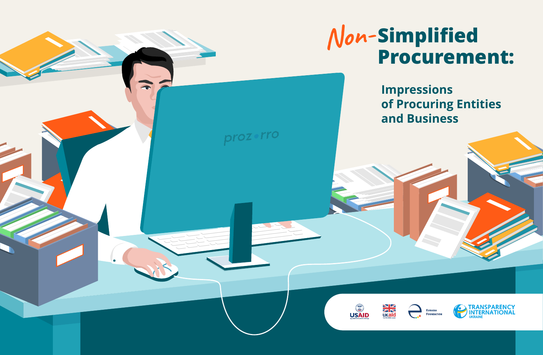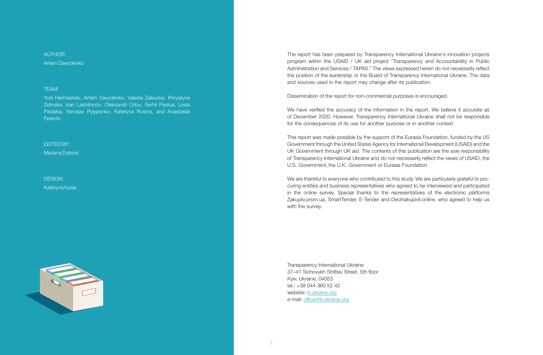$AI$  ITHOR $\cdot$ Artem Davydenko

#### TEAM:

Yurii Hermashev, Artem Davydenko, Valeriia Zalevska, Khrystyna Zelinska, Ivan Lakhtionov, Oleksandr Orlov, Serhii Pavliuk, Lesia Padalka, Yaroslav Pylypenko, Kateryna Rusina, and Anastasiia **Ferents** 

EDITED BY: Mariana Doboni

DESIGN: Kateryna Kysla



The report has been prepared by Transparency International Ukraine's innovation projects program within the USAID / UK aid project "Transparency and Accountability in Public Administration and Services / TAPAS." The views expressed herein do not necessarily reflect the position of the leadership or the Board of Transparency International Ukraine. The data and sources used in the report may change after its publication.

Dissemination of the report for non-commercial purposes is encouraged.

We have verified the accuracy of the information in the report. We believe it accurate as of December 2020. However, Transparency International Ukraine shall not be responsible for the consequences of its use for another purpose or in another context.

This report was made possible by the support of the Eurasia Foundation, funded by the US Government through the United States Agency for International Development (USAID) and the UK Government through UK aid. The contents of this publication are the sole responsibility of Transparency International Ukraine and do not necessarily reflect the views of USAID, the U.S. Government, the U.K. Government or Eurasia Foundation.

We are thankful to everyone who contributed to this study. We are particularly grateful to procuring entities and business representatives who agreed to be interviewed and participated in the online survey. Special thanks to the representatives of the electronic platforms Zakupki.prom.ua, SmartTender, E-Tender and Derzhakupivli.online, who agreed to help us with the survey.

Transparency International Ukraine 37–41 Sichovykh Striltsiv Street, 5th floor Kyiv, Ukraine, 04053 tel.: +38 044 360 52 42 website: ti-ukraine.org e-mail: office@ti-ukraine.org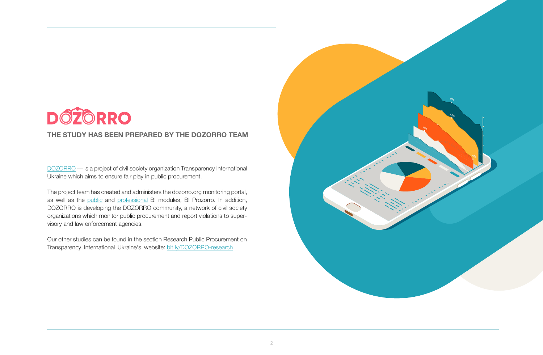

#### **THE STUDY HAS BEEN PREPARED BY THE DOZORRO TEAM**

DOZORRO — is a project of civil society organization Transparency International Ukraine which aims to ensure fair play in public procurement.

The project team has created and administers the dozorro.org monitoring portal, as well as the public and professional BI modules, BI Prozorro. In addition, DOZORRO is developing the DOZORRO community, a network of civil society organizations which monitor public procurement and report violations to supervisory and law enforcement agencies.

Our other studies can be found in the section Research Public Procurement on Transparency International Ukraine's website: bit.ly/DOZORRO-research

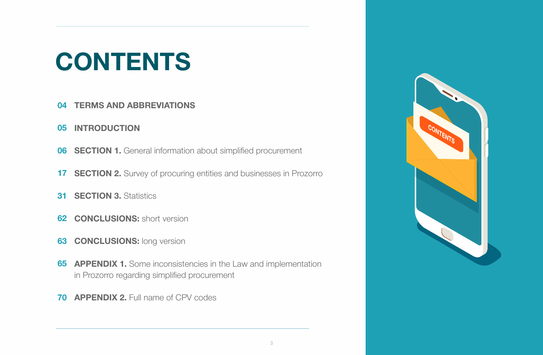# **CONTENTS**

- **TERMS AND ABBREVIATIONS 04**
- **INTRODUCTION 05**
- **SECTION 1.** General information about simplified procurement **06**
- **17 SECTION 2.** Survey of procuring entities and businesses in Prozorro
- **31 SECTION 3. Statistics**
- **62 CONCLUSIONS:** short version
- **63 CONCLUSIONS:** long version
- **APPENDIX 1.** Some inconsistencies in the Law and implementation **65** in Prozorro regarding simplified procurement
- *APPENDIX 2. Full name of CPV codes*

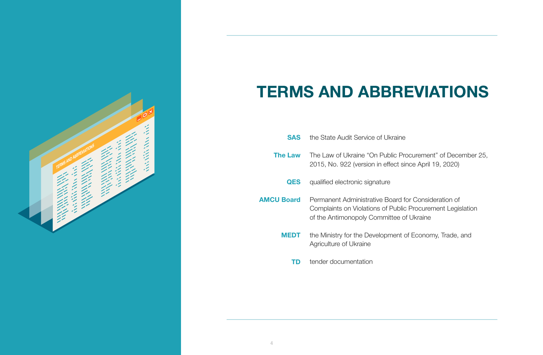

### **TERMS AND ABBREVIATIONS**

| <b>SAS</b>        | the State Audit Service of Ukraine                                                                                                                            |
|-------------------|---------------------------------------------------------------------------------------------------------------------------------------------------------------|
| The Law           | The Law of Ukraine "On Public Procurement" of December 25.<br>2015, No. 922 (version in effect since April 19, 2020)                                          |
| <b>QES</b>        | qualified electronic signature                                                                                                                                |
| <b>AMCU Board</b> | Permanent Administrative Board for Consideration of<br>Complaints on Violations of Public Procurement Legislation<br>of the Antimonopoly Committee of Ukraine |
| MEDT              | the Ministry for the Development of Economy, Trade, and<br>Agriculture of Ukraine                                                                             |
| TD                | tender documentation                                                                                                                                          |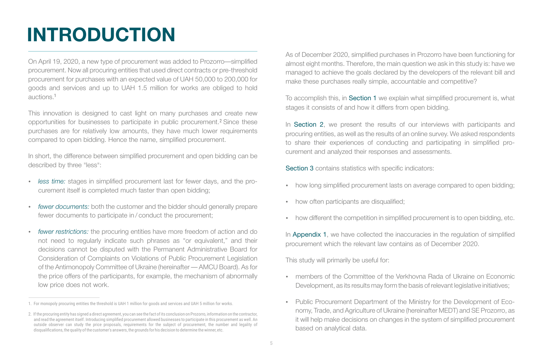## **INTRODUCTION**

On April 19, 2020, a new type of procurement was added to Prozorro—simplified procurement. Now all procuring entities that used direct contracts or pre-threshold procurement for purchases with an expected value of UAH 50,000 to 200,000 for goods and services and up to UAH 1.5 million for works are obliged to hold auctions. 1

This innovation is designed to cast light on many purchases and create new opportunities for businesses to participate in public procurement.<sup>2</sup> Since these purchases are for relatively low amounts, they have much lower requirements compared to open bidding. Hence the name, simplified procurement.

In short, the difference between simplified procurement and open bidding can be described by three "less":

- џ *less time:* stages in simplified procurement last for fewer days, and the procurement itself is completed much faster than open bidding;
- fewer documents: both the customer and the bidder should generally prepare fewer documents to participate in / conduct the procurement;
- fewer restrictions: the procuring entities have more freedom of action and do not need to regularly indicate such phrases as "or equivalent," and their decisions cannot be disputed with the Permanent Administrative Board for Consideration of Complaints on Violations of Public Procurement Legislation of the Antimonopoly Committee of Ukraine (hereinafter — AMCU Board). As for the price offers of the participants, for example, the mechanism of abnormally low price does not work.

As of December 2020, simplified purchases in Prozorro have been functioning for almost eight months. Therefore, the main question we ask in this study is: have we managed to achieve the goals declared by the developers of the relevant bill and make these purchases really simple, accountable and competitive?

To accomplish this, in Section 1 we explain what simplified procurement is, what stages it consists of and how it differs from open bidding.

In Section 2, we present the results of our interviews with participants and procuring entities, as well as the results of an online survey. We asked respondents to share their experiences of conducting and participating in simplified procurement and analyzed their responses and assessments.

Section 3 contains statistics with specific indicators:

- how long simplified procurement lasts on average compared to open bidding;
- how often participants are disqualified;
- how different the competition in simplified procurement is to open bidding, etc.

In Appendix 1, we have collected the inaccuracies in the regulation of simplified procurement which the relevant law contains as of December 2020.

This study will primarily be useful for:

- џ members of the Committee of the Verkhovna Rada of Ukraine on Economic Development, as its results may form the basis of relevant legislative initiatives;
- Public Procurement Department of the Ministry for the Development of Economy, Trade, and Agriculture of Ukraine (hereinafter MEDT) and SE Prozorro, as it will help make decisions on changes in the system of simplified procurement based on analytical data.

<sup>1.</sup> For monopoly procuring entities the threshold is UAH 1 million for goods and services and UAH 5 million for works.

<sup>2</sup>. If the procuring entity has signed a direct agreement, you can see the fact of its conclusion on Prozorro, information on the contractor, and read the agreement itself. Introducing simplified procurement allowed businesses to participate in this procurement as well. An outside observer can study the price proposals, requirements for the subject of procurement, the number and legality of disqualifications, the quality of the customer's answers, the grounds for his decision to determine the winner, etc.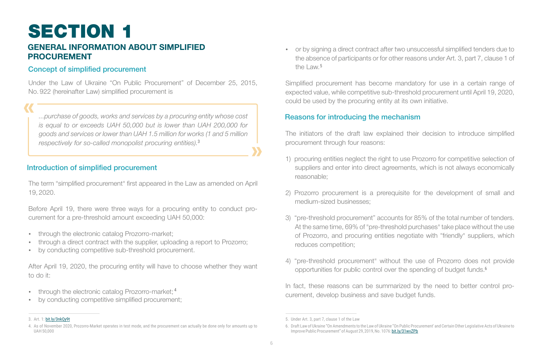## SECTION 1

### **GENERAL INFORMATION ABOUT SIMPLIFIED PROCUREMENT**

#### Concept of simplified procurement

Under the Law of Ukraine "On Public Procurement" of December 25, 2015, No. 922 (hereinafter Law) simplified procurement is

*...purchase of goods, works and services by a procuring entity whose cost is equal to or exceeds UAH 50,000 but is lower than UAH 200,000 for goods and services or lower than UAH 1.5 million for works (1 and 5 million respectively for so-called monopolist procuring entities).* 3

#### Introduction of simplified procurement

The term "simplified procurement" first appeared in the Law as amended on April 19, 2020.

Before April 19, there were three ways for a procuring entity to conduct procurement for a pre-threshold amount exceeding UAH 50,000:

- through the electronic catalog Prozorro-market;
- through a direct contract with the supplier, uploading a report to Prozorro;
- by conducting competitive sub-threshold procurement.

After April 19, 2020, the procuring entity will have to choose whether they want to do it:

- through the electronic catalog Prozorro-market;<sup>4</sup>
- by conducting competitive simplified procurement;

• or by signing a direct contract after two unsuccessful simplified tenders due to the absence of participants or for other reasons under Art. 3, part 7, clause 1 of the Law. 5

Simplified procurement has become mandatory for use in a certain range of expected value, while competitive sub-threshold procurement until April 19, 2020, could be used by the procuring entity at its own initiative.

#### Reasons for introducing the mechanism

The initiators of the draft law explained their decision to introduce simplified procurement through four reasons:

- 1) procuring entities neglect the right to use Prozorro for competitive selection of suppliers and enter into direct agreements, which is not always economically reasonable;
- 2) Prozorro procurement is a prerequisite for the development of small and medium-sized businesses;
- 3) "pre-threshold procurement" accounts for 85% of the total number of tenders. At the same time, 69% of "pre-threshold purchases" take place without the use of Prozorro, and procuring entities negotiate with "friendly" suppliers, which reduces competition;
- 4) "pre-threshold procurement" without the use of Prozorro does not provide opportunities for public control over the spending of budget funds.<sup>6</sup>

In fact, these reasons can be summarized by the need to better control procurement, develop business and save budget funds.

<sup>3.</sup> Art. 1: bit.ly/3nkOv9t

<sup>4.</sup> As of November 2020, Prozorro-Market operates in test mode, and the procurement can actually be done only for amounts up to UAH 50,000

<sup>5.</sup> Under Art. 3, part 7, clause 1 of the Law

<sup>6.</sup>ііDraft Law of Ukraine "On Amendments to the Law of Ukraine "On Public Procurement' and Certain Other Legislative Acts of Ukraine to Improve Public Procurement" of August 29, 2019, No. 1076: bit.ly/31wvZPb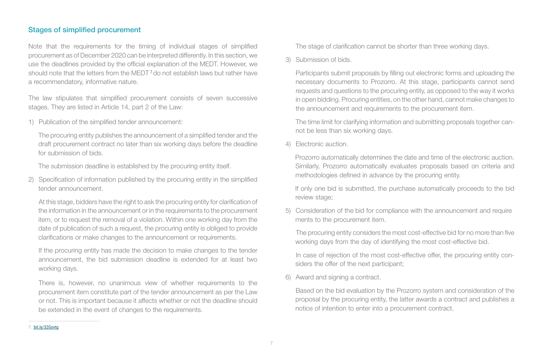#### Stages of simplified procurement

Note that the requirements for the timing of individual stages of simplified procurement as of December 2020 can be interpreted differently. In this section, we use the deadlines provided by the official explanation of the MEDT. However, we should note that the letters from the MEDT<sup>7</sup> do not establish laws but rather have a recommendatory, informative nature.

The law stipulates that simplified procurement consists of seven successive stages. They are listed in Article 14, part 2 of the Law:

1) Publication of the simplified tender announcement:

The procuring entity publishes the announcement of a simplified tender and the draft procurement contract no later than six working days before the deadline for submission of bids.

The submission deadline is established by the procuring entity itself.

2) Specification of information published by the procuring entity in the simplified tender announcement.

At this stage, bidders have the right to ask the procuring entity for clarification of the information in the announcement or in the requirements to the procurement item, or to request the removal of a violation. Within one working day from the date of publication of such a request, the procuring entity is obliged to provide clarifications or make changes to the announcement or requirements.

If the procuring entity has made the decision to make changes to the tender announcement, the bid submission deadline is extended for at least two working days.

There is, however, no unanimous view of whether requirements to the procurement item constitute part of the tender announcement as per the Law or not. This is important because it affects whether or not the deadline should be extended in the event of changes to the requirements.

The stage of clarification cannot be shorter than three working days.

3) Submission of bids.

Participants submit proposals by filling out electronic forms and uploading the necessary documents to Prozorro. At this stage, participants cannot send requests and questions to the procuring entity, as opposed to the way it works in open bidding. Procuring entities, on the other hand, cannot make changes to the announcement and requirements to the procurement item.

The time limit for clarifying information and submitting proposals together cannot be less than six working days.

4) Electronic auction.

Prozorro automatically determines the date and time of the electronic auction. Similarly, Prozorro automatically evaluates proposals based on criteria and methodologies defined in advance by the procuring entity.

If only one bid is submitted, the purchase automatically proceeds to the bid review stage;

5) Consideration of the bid for compliance with the announcement and requirements to the procurement item.

The procuring entity considers the most cost-effective bid for no more than five working days from the day of identifying the most cost-effective bid.

In case of rejection of the most cost-effective offer, the procuring entity considers the offer of the next participant;

6) Award and signing a contract.

Based on the bid evaluation by the Prozorro system and consideration of the proposal by the procuring entity, the latter awards a contract and publishes a notice of intention to enter into a procurement contract.

<sup>7.</sup> bit.ly/32Govtg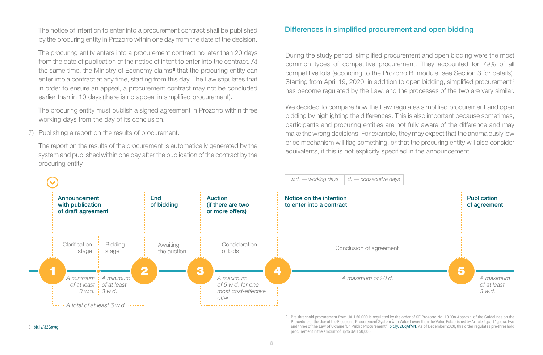The notice of intention to enter into a procurement contract shall be published by the procuring entity in Prozorro within one day from the date of the decision.

The procuring entity enters into a procurement contract no later than 20 days from the date of publication of the notice of intent to enter into the contract. At the same time, the Ministry of Economy claims<sup>8</sup> that the procuring entity can enter into a contract at any time, starting from this day. The Law stipulates that in order to ensure an appeal, a procurement contract may not be concluded earlier than in 10 days (there is no appeal in simplified procurement).

The procuring entity must publish a signed agreement in Prozorro within three working days from the day of its conclusion.

7) Publishing a report on the results of procurement.

The report on the results of the procurement is automatically generated by the system and published within one day after the publication of the contract by the procuring entity.

#### Differences in simplified procurement and open bidding

During the study period, simplified procurement and open bidding were the most common types of competitive procurement. They accounted for 79% of all competitive lots (according to the Prozorro BI module, see Section 3 for details). Starting from April 19, 2020, in addition to open bidding, simplified procurement<sup>s</sup> has become regulated by the Law, and the processes of the two are very similar.

We decided to compare how the Law regulates simplified procurement and open bidding by highlighting the differences. This is also important because sometimes, participants and procuring entities are not fully aware of the difference and may make the wrong decisions. For example, they may expect that the anomalously low price mechanism will flag something, or that the procuring entity will also consider equivalents, if this is not explicitly specified in the announcement.



<sup>9.</sup> Pre-threshold procurement from UAH 50,000 is regulated by the order of SE Prozorro No. 10 "On Approval of the Guidelines on the Procedure of the Use of the Electronic Procurement System with Value Lower than the Value Established by Article 2, part 1, para. two and three of the Law of Ukraine 'On Public Procurement": bit.ly/2UqAfM4. As of December 2020, this order regulates pre-threshold procurement in the amount of up to UAH 50,000

8. bit.ly/32Govtg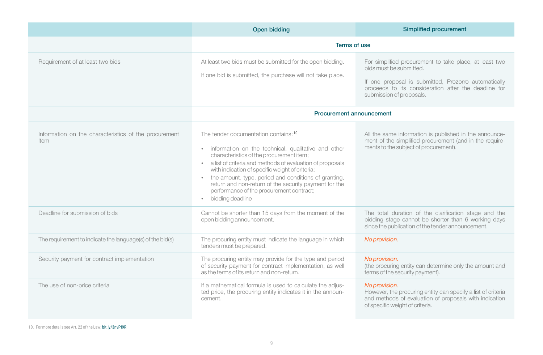|                                                               | <b>Open bidding</b>                                                                                                                                                                                                                                                                                                                                                                                                                           | <b>Simplified procurement</b>                                                                                                                                                                                                 |
|---------------------------------------------------------------|-----------------------------------------------------------------------------------------------------------------------------------------------------------------------------------------------------------------------------------------------------------------------------------------------------------------------------------------------------------------------------------------------------------------------------------------------|-------------------------------------------------------------------------------------------------------------------------------------------------------------------------------------------------------------------------------|
|                                                               | Terms of use                                                                                                                                                                                                                                                                                                                                                                                                                                  |                                                                                                                                                                                                                               |
| Requirement of at least two bids                              | At least two bids must be submitted for the open bidding.<br>If one bid is submitted, the purchase will not take place.                                                                                                                                                                                                                                                                                                                       | For simplified procurement to take place, at least two<br>bids must be submitted.<br>If one proposal is submitted, Prozorro automatically<br>proceeds to its consideration after the deadline for<br>submission of proposals. |
|                                                               | <b>Procurement announcement</b>                                                                                                                                                                                                                                                                                                                                                                                                               |                                                                                                                                                                                                                               |
| Information on the characteristics of the procurement<br>item | The tender documentation contains: 10<br>• information on the technical, qualitative and other<br>characteristics of the procurement item;<br>• a list of criteria and methods of evaluation of proposals<br>with indication of specific weight of criteria;<br>the amount, type, period and conditions of granting,<br>return and non-return of the security payment for the<br>performance of the procurement contract;<br>bidding deadline | All the same information is published in the announce-<br>ment of the simplified procurement (and in the require-<br>ments to the subject of procurement).                                                                    |
| Deadline for submission of bids                               | Cannot be shorter than 15 days from the moment of the<br>open bidding announcement.                                                                                                                                                                                                                                                                                                                                                           | The total duration of the clarification stage and the<br>bidding stage cannot be shorter than 6 working days<br>since the publication of the tender announcement.                                                             |
| The requirement to indicate the language(s) of the bid(s)     | The procuring entity must indicate the language in which<br>tenders must be prepared.                                                                                                                                                                                                                                                                                                                                                         | No provision.                                                                                                                                                                                                                 |
| Security payment for contract implementation                  | The procuring entity may provide for the type and period<br>of security payment for contract implementation, as well<br>as the terms of its return and non-return.                                                                                                                                                                                                                                                                            | No provision.<br>(the procuring entity can determine only the amount and<br>terms of the security payment).                                                                                                                   |
| The use of non-price criteria                                 | If a mathematical formula is used to calculate the adjus-<br>ted price, the procuring entity indicates it in the announ-<br>cement.                                                                                                                                                                                                                                                                                                           | No provision.<br>However, the procuring entity can specify a list of criteria<br>and methods of evaluation of proposals with indication<br>of specific weight of criteria.                                                    |

10. For more details see Art. 22 of the Law: bit.ly/3nvPI9R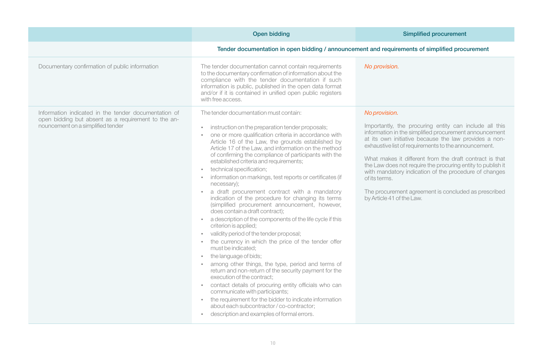|                                                                                                                                                  | Open bidding                                                                                                                                                                                                                                                                                                                                                                                                                                                                                                                                                                                                                                                                                                                                                                                                                                                                                                                                                                                                                                                                                                                                                                                                                                                                                                                           | <b>Simplified procurement</b>                                                                                                                                                                                                                                                                                                                                                                                                                                                                                                               |
|--------------------------------------------------------------------------------------------------------------------------------------------------|----------------------------------------------------------------------------------------------------------------------------------------------------------------------------------------------------------------------------------------------------------------------------------------------------------------------------------------------------------------------------------------------------------------------------------------------------------------------------------------------------------------------------------------------------------------------------------------------------------------------------------------------------------------------------------------------------------------------------------------------------------------------------------------------------------------------------------------------------------------------------------------------------------------------------------------------------------------------------------------------------------------------------------------------------------------------------------------------------------------------------------------------------------------------------------------------------------------------------------------------------------------------------------------------------------------------------------------|---------------------------------------------------------------------------------------------------------------------------------------------------------------------------------------------------------------------------------------------------------------------------------------------------------------------------------------------------------------------------------------------------------------------------------------------------------------------------------------------------------------------------------------------|
|                                                                                                                                                  | Tender documentation in open bidding / announcement and requirements of simplified procurement                                                                                                                                                                                                                                                                                                                                                                                                                                                                                                                                                                                                                                                                                                                                                                                                                                                                                                                                                                                                                                                                                                                                                                                                                                         |                                                                                                                                                                                                                                                                                                                                                                                                                                                                                                                                             |
| Documentary confirmation of public information                                                                                                   | The tender documentation cannot contain requirements<br>to the documentary confirmation of information about the<br>compliance with the tender documentation if such<br>information is public, published in the open data format<br>and/or if it is contained in unified open public registers<br>with free access.                                                                                                                                                                                                                                                                                                                                                                                                                                                                                                                                                                                                                                                                                                                                                                                                                                                                                                                                                                                                                    | No provision.                                                                                                                                                                                                                                                                                                                                                                                                                                                                                                                               |
| Information indicated in the tender documentation of<br>open bidding but absent as a requirement to the an-<br>nouncement on a simplified tender | The tender documentation must contain:<br>instruction on the preparation tender proposals;<br>one or more qualification criteria in accordance with<br>Article 16 of the Law, the grounds established by<br>Article 17 of the Law, and information on the method<br>of confirming the compliance of participants with the<br>established criteria and requirements;<br>technical specification;<br>information on markings, test reports or certificates (if<br>necessary);<br>a draft procurement contract with a mandatory<br>indication of the procedure for changing its terms<br>(simplified procurement announcement, however,<br>does contain a draft contract);<br>a description of the components of the life cycle if this<br>criterion is applied;<br>validity period of the tender proposal;<br>the currency in which the price of the tender offer<br>must be indicated:<br>the language of bids;<br>$\bullet$<br>among other things, the type, period and terms of<br>return and non-return of the security payment for the<br>execution of the contract;<br>contact details of procuring entity officials who can<br>$\bullet$<br>communicate with participants;<br>• the requirement for the bidder to indicate information<br>about each subcontractor / co-contractor;<br>description and examples of formal errors. | No provision.<br>Importantly, the procuring entity can include all this<br>information in the simplified procurement announcement<br>at its own initiative because the law provides a non-<br>exhaustive list of requirements to the announcement.<br>What makes it different from the draft contract is that<br>the Law does not require the procuring entity to publish it<br>with mandatory indication of the procedure of changes<br>of its terms.<br>The procurement agreement is concluded as prescribed<br>by Article 41 of the Law. |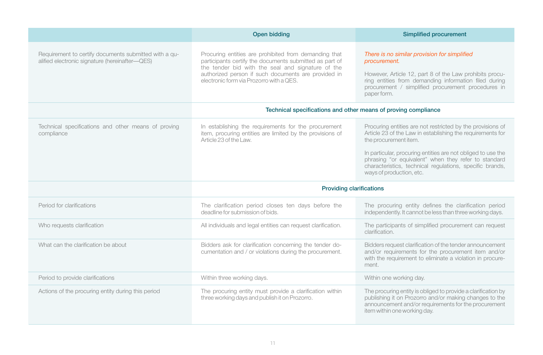|                                                                                                         | Open bidding                                                                                                                                                                                                                                                             | Simplified procurement                                                                                                                                                                                                                                                                                                                                            |
|---------------------------------------------------------------------------------------------------------|--------------------------------------------------------------------------------------------------------------------------------------------------------------------------------------------------------------------------------------------------------------------------|-------------------------------------------------------------------------------------------------------------------------------------------------------------------------------------------------------------------------------------------------------------------------------------------------------------------------------------------------------------------|
| Requirement to certify documents submitted with a qu-<br>alified electronic signature (hereinafter-QES) | Procuring entities are prohibited from demanding that<br>participants certify the documents submitted as part of<br>the tender bid with the seal and signature of the<br>authorized person if such documents are provided in<br>electronic form via Prozorro with a QES. | There is no similar provision for simplified<br>procurement.<br>However, Article 12, part 8 of the Law prohibits procu-<br>ring entities from demanding information filed during<br>procurement / simplified procurement procedures in<br>paper form.                                                                                                             |
|                                                                                                         | Technical specifications and other means of proving compliance                                                                                                                                                                                                           |                                                                                                                                                                                                                                                                                                                                                                   |
| Technical specifications and other means of proving<br>compliance                                       | In establishing the requirements for the procurement<br>item, procuring entities are limited by the provisions of<br>Article 23 of the Law.                                                                                                                              | Procuring entities are not restricted by the provisions of<br>Article 23 of the Law in establishing the requirements for<br>the procurement item.<br>In particular, procuring entities are not obliged to use the<br>phrasing "or equivalent" when they refer to standard<br>characteristics, technical regulations, specific brands,<br>ways of production, etc. |
|                                                                                                         | <b>Providing clarifications</b>                                                                                                                                                                                                                                          |                                                                                                                                                                                                                                                                                                                                                                   |
| Period for clarifications                                                                               | The clarification period closes ten days before the<br>deadline for submission of bids.                                                                                                                                                                                  | The procuring entity defines the clarification period<br>independently. It cannot be less than three working days.                                                                                                                                                                                                                                                |
| Who requests clarification                                                                              | All individuals and legal entities can request clarification.                                                                                                                                                                                                            | The participants of simplified procurement can request<br>clarification.                                                                                                                                                                                                                                                                                          |
| What can the clarification be about                                                                     | Bidders ask for clarification concerning the tender do-<br>cumentation and / or violations during the procurement.                                                                                                                                                       | Bidders request clarification of the tender announcement<br>and/or requirements for the procurement item and/or<br>with the requirement to eliminate a violation in procure-<br>ment.                                                                                                                                                                             |
| Period to provide clarifications                                                                        | Within three working days.                                                                                                                                                                                                                                               | Within one working day.                                                                                                                                                                                                                                                                                                                                           |
| Actions of the procuring entity during this period                                                      | The procuring entity must provide a clarification within<br>three working days and publish it on Prozorro.                                                                                                                                                               | The procuring entity is obliged to provide a clarification by<br>publishing it on Prozorro and/or making changes to the<br>announcement and/or requirements for the procurement<br>item within one working day.                                                                                                                                                   |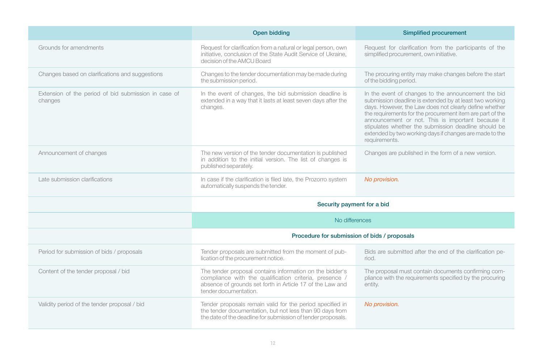|                                                                 | <b>Open bidding</b>                                                                                                                                                                                      | <b>Simplified procurement</b>                                                                                                                                                                                                                                                                                                                                                                                                  |
|-----------------------------------------------------------------|----------------------------------------------------------------------------------------------------------------------------------------------------------------------------------------------------------|--------------------------------------------------------------------------------------------------------------------------------------------------------------------------------------------------------------------------------------------------------------------------------------------------------------------------------------------------------------------------------------------------------------------------------|
| Grounds for amendments                                          | Request for clarification from a natural or legal person, own<br>initiative, conclusion of the State Audit Service of Ukraine,<br>decision of the AMCU Board                                             | Request for clarification from the participants of the<br>simplified procurement, own initiative.                                                                                                                                                                                                                                                                                                                              |
| Changes based on clarifications and suggestions                 | Changes to the tender documentation may be made during<br>the submission period.                                                                                                                         | The procuring entity may make changes before the start<br>of the bidding period.                                                                                                                                                                                                                                                                                                                                               |
| Extension of the period of bid submission in case of<br>changes | In the event of changes, the bid submission deadline is<br>extended in a way that it lasts at least seven days after the<br>changes.                                                                     | In the event of changes to the announcement the bid<br>submission deadline is extended by at least two working<br>days. However, the Law does not clearly define whether<br>the requirements for the procurement item are part of the<br>announcement or not. This is important because it<br>stipulates whether the submission deadline should be<br>extended by two working days if changes are made to the<br>requirements. |
| Announcement of changes                                         | The new version of the tender documentation is published<br>in addition to the initial version. The list of changes is<br>published separately.                                                          | Changes are published in the form of a new version.                                                                                                                                                                                                                                                                                                                                                                            |
| Late submission clarifications                                  | In case if the clarification is filed late, the Prozorro system<br>automatically suspends the tender.                                                                                                    | No provision.                                                                                                                                                                                                                                                                                                                                                                                                                  |
|                                                                 | Security payment for a bid                                                                                                                                                                               |                                                                                                                                                                                                                                                                                                                                                                                                                                |
|                                                                 | No differences                                                                                                                                                                                           |                                                                                                                                                                                                                                                                                                                                                                                                                                |
|                                                                 | Procedure for submission of bids / proposals                                                                                                                                                             |                                                                                                                                                                                                                                                                                                                                                                                                                                |
| Period for submission of bids / proposals                       | Tender proposals are submitted from the moment of pub-<br>lication of the procurement notice.                                                                                                            | Bids are submitted after the end of the clarification pe-<br>riod.                                                                                                                                                                                                                                                                                                                                                             |
| Content of the tender proposal / bid                            | The tender proposal contains information on the bidder's<br>compliance with the qualification criteria, presence /<br>absence of grounds set forth in Article 17 of the Law and<br>tender documentation. | The proposal must contain documents confirming com-<br>pliance with the requirements specified by the procuring<br>entity.                                                                                                                                                                                                                                                                                                     |
| Validity period of the tender proposal / bid                    | Tender proposals remain valid for the period specified in<br>the tender documentation, but not less than 90 days from<br>the date of the deadline for submission of tender proposals.                    | No provision.                                                                                                                                                                                                                                                                                                                                                                                                                  |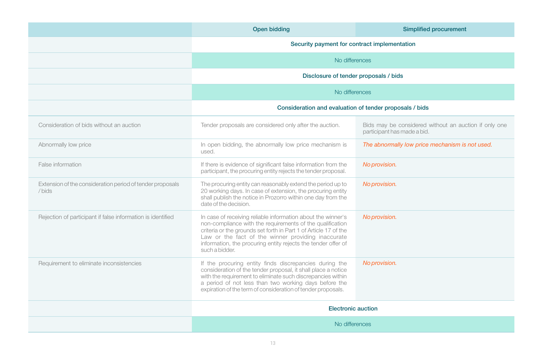|                                                                     | <b>Open bidding</b>                                                                                                                                                                                                                                                                                                                    | <b>Simplified procurement</b>                                                        |
|---------------------------------------------------------------------|----------------------------------------------------------------------------------------------------------------------------------------------------------------------------------------------------------------------------------------------------------------------------------------------------------------------------------------|--------------------------------------------------------------------------------------|
|                                                                     | Security payment for contract implementation                                                                                                                                                                                                                                                                                           |                                                                                      |
|                                                                     | No differences                                                                                                                                                                                                                                                                                                                         |                                                                                      |
|                                                                     | Disclosure of tender proposals / bids                                                                                                                                                                                                                                                                                                  |                                                                                      |
|                                                                     | No differences                                                                                                                                                                                                                                                                                                                         |                                                                                      |
|                                                                     | Consideration and evaluation of tender proposals / bids                                                                                                                                                                                                                                                                                |                                                                                      |
| Consideration of bids without an auction                            | Tender proposals are considered only after the auction.                                                                                                                                                                                                                                                                                | Bids may be considered without an auction if only one<br>participant has made a bid. |
| Abnormally low price                                                | In open bidding, the abnormally low price mechanism is<br>used.                                                                                                                                                                                                                                                                        | The abnormally low price mechanism is not used.                                      |
| False information                                                   | If there is evidence of significant false information from the<br>participant, the procuring entity rejects the tender proposal.                                                                                                                                                                                                       | No provision.                                                                        |
| Extension of the consideration period of tender proposals<br>/ bids | The procuring entity can reasonably extend the period up to<br>20 working days. In case of extension, the procuring entity<br>shall publish the notice in Prozorro within one day from the<br>date of the decision.                                                                                                                    | No provision.                                                                        |
| Rejection of participant if false information is identified         | In case of receiving reliable information about the winner's<br>non-compliance with the requirements of the qualification<br>criteria or the grounds set forth in Part 1 of Article 17 of the<br>Law or the fact of the winner providing inaccurate<br>information, the procuring entity rejects the tender offer of<br>such a bidder. | No provision.                                                                        |
| Requirement to eliminate inconsistencies                            | If the procuring entity finds discrepancies during the<br>consideration of the tender proposal, it shall place a notice<br>with the requirement to eliminate such discrepancies within<br>a period of not less than two working days before the<br>expiration of the term of consideration of tender proposals.                        | No provision.                                                                        |
|                                                                     | <b>Electronic auction</b>                                                                                                                                                                                                                                                                                                              |                                                                                      |
|                                                                     | No differences                                                                                                                                                                                                                                                                                                                         |                                                                                      |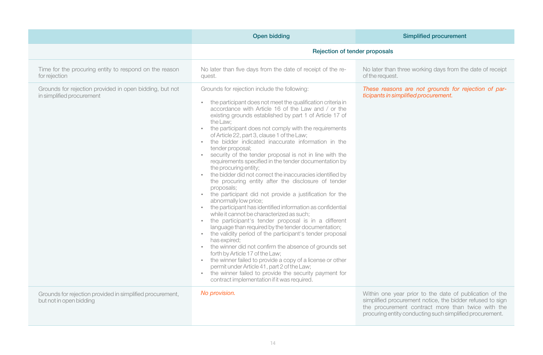|                                                                                      | Open bidding                                                                                                                                                                                                                                                                                                                                                                                                                                                                                                                                                                                                                                                                                                                                                                                                                                                                                                                                                                                                                                                                                                                                                                                                                                                                                                                                                                                                       | Simplified procurement                                                                                                                                                    |
|--------------------------------------------------------------------------------------|--------------------------------------------------------------------------------------------------------------------------------------------------------------------------------------------------------------------------------------------------------------------------------------------------------------------------------------------------------------------------------------------------------------------------------------------------------------------------------------------------------------------------------------------------------------------------------------------------------------------------------------------------------------------------------------------------------------------------------------------------------------------------------------------------------------------------------------------------------------------------------------------------------------------------------------------------------------------------------------------------------------------------------------------------------------------------------------------------------------------------------------------------------------------------------------------------------------------------------------------------------------------------------------------------------------------------------------------------------------------------------------------------------------------|---------------------------------------------------------------------------------------------------------------------------------------------------------------------------|
|                                                                                      | Rejection of tender proposals                                                                                                                                                                                                                                                                                                                                                                                                                                                                                                                                                                                                                                                                                                                                                                                                                                                                                                                                                                                                                                                                                                                                                                                                                                                                                                                                                                                      |                                                                                                                                                                           |
| Time for the procuring entity to respond on the reason<br>for rejection              | No later than five days from the date of receipt of the re-<br>quest.                                                                                                                                                                                                                                                                                                                                                                                                                                                                                                                                                                                                                                                                                                                                                                                                                                                                                                                                                                                                                                                                                                                                                                                                                                                                                                                                              | No later than three working days from the date of receipt<br>of the request.                                                                                              |
| Grounds for rejection provided in open bidding, but not<br>in simplified procurement | Grounds for rejection include the following:<br>the participant does not meet the qualification criteria in<br>accordance with Article 16 of the Law and / or the<br>existing grounds established by part 1 of Article 17 of<br>the Law:<br>the participant does not comply with the requirements<br>of Article 22, part 3, clause 1 of the Law;<br>the bidder indicated inaccurate information in the<br>tender proposal;<br>security of the tender proposal is not in line with the<br>requirements specified in the tender documentation by<br>the procuring entity;<br>the bidder did not correct the inaccuracies identified by<br>the procuring entity after the disclosure of tender<br>proposals:<br>the participant did not provide a justification for the<br>abnormally low price;<br>the participant has identified information as confidential<br>while it cannot be characterized as such;<br>the participant's tender proposal is in a different<br>language than required by the tender documentation;<br>the validity period of the participant's tender proposal<br>has expired;<br>the winner did not confirm the absence of grounds set<br>forth by Article 17 of the Law;<br>the winner failed to provide a copy of a license or other<br>permit under Article 41, part 2 of the Law;<br>the winner failed to provide the security payment for<br>contract implementation if it was required. | These reasons are not grounds for rejection of par-<br>ticipants in simplified procurement.                                                                               |
| Grounds for rejection provided in simplified procurement,<br>but not in open bidding | No provision.                                                                                                                                                                                                                                                                                                                                                                                                                                                                                                                                                                                                                                                                                                                                                                                                                                                                                                                                                                                                                                                                                                                                                                                                                                                                                                                                                                                                      | Within one year prior to the date of publication of the<br>simplified procurement notice, the bidder refused to sign<br>the procurement contract more than twice with the |

**14**

procuring entity conducting such simplified procurement.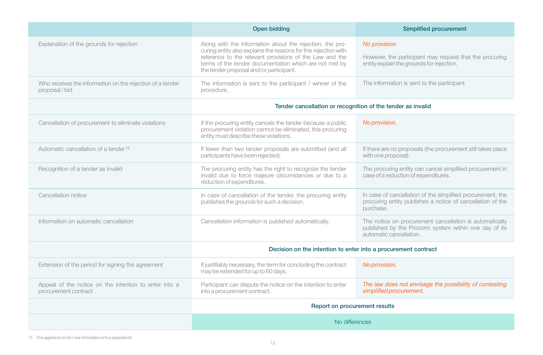|                                                                               | Open bidding                                                                                                                                                                                                                                                                                | <b>Simplified procurement</b>                                                                                                                |
|-------------------------------------------------------------------------------|---------------------------------------------------------------------------------------------------------------------------------------------------------------------------------------------------------------------------------------------------------------------------------------------|----------------------------------------------------------------------------------------------------------------------------------------------|
| Explanation of the grounds for rejection                                      | Along with the information about the rejection, the pro-<br>curing entity also explains the reasons for this rejection with<br>reference to the relevant provisions of the Law and the<br>terms of the tender documentation which are not met by<br>the tender proposal and/or participant. | No provision.<br>However, the participant may request that the procuring<br>entity explain the grounds for rejection.                        |
| Who receives the information on the rejection of a tender<br>proposal/bid     | The information is sent to the participant / winner of the<br>procedure.                                                                                                                                                                                                                    | The information is sent to the participant                                                                                                   |
|                                                                               | Tender cancellation or recognition of the tender as invalid                                                                                                                                                                                                                                 |                                                                                                                                              |
| Cancellation of procurement to eliminate violations                           | If the procuring entity cancels the tender because a public<br>procurement violation cannot be eliminated, this procuring<br>entity must describe these violations.                                                                                                                         | No provision.                                                                                                                                |
| Automatic cancellation of a tender <sup>11</sup>                              | If fewer than two tender proposals are submitted (and all<br>participants have been rejected).                                                                                                                                                                                              | If there are no proposals (the procurement still takes place<br>with one proposal).                                                          |
| Recognition of a tender as invalid                                            | The procuring entity has the right to recognize the tender<br>invalid due to force majeure circumstances or due to a<br>reduction of expenditures.                                                                                                                                          | The procuring entity can cancel simplified procurement in<br>case of a reduction of expenditures.                                            |
| Cancellation notice                                                           | In case of cancellation of the tender, the procuring entity<br>publishes the grounds for such a decision.                                                                                                                                                                                   | In case of cancellation of the simplified procurement, the<br>procuring entity publishes a notice of cancellation of the<br>purchase.        |
| Information on automatic cancellation                                         | Cancellation information is published automatically.                                                                                                                                                                                                                                        | The notice on procurement cancellation is automatically<br>published by the Prozorro system within one day of its<br>automatic cancellation. |
|                                                                               | Decision on the intention to enter into a procurement contract                                                                                                                                                                                                                              |                                                                                                                                              |
| Extension of the period for signing the agreement                             | If justifiably necessary, the term for concluding the contract<br>may be extended for up to 60 days.                                                                                                                                                                                        | No provision.                                                                                                                                |
| Appeal of the notice on the intention to enter into a<br>procurement contract | Participant can dispute the notice on the intention to enter<br>into a procurement contract.                                                                                                                                                                                                | The law does not envisage the possibility of contesting<br>simplified procurement.                                                           |
|                                                                               | Report on procurement results                                                                                                                                                                                                                                                               |                                                                                                                                              |
|                                                                               | No differences                                                                                                                                                                                                                                                                              |                                                                                                                                              |

11. This applies to no-lot / one-lot tenders or to a separate lot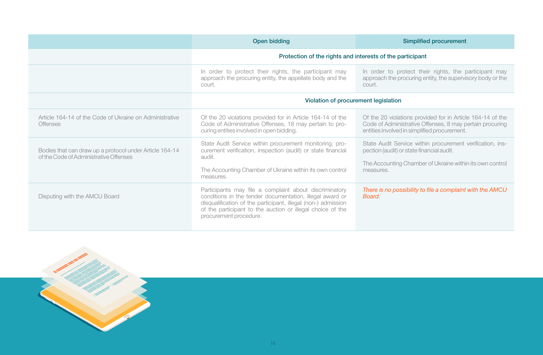|                                                                                                   | Open bidding                                                                                                                                                                                                                                                                | Simplified procurement                                                                                                                                                          |
|---------------------------------------------------------------------------------------------------|-----------------------------------------------------------------------------------------------------------------------------------------------------------------------------------------------------------------------------------------------------------------------------|---------------------------------------------------------------------------------------------------------------------------------------------------------------------------------|
|                                                                                                   | Protection of the rights and interests of the participant                                                                                                                                                                                                                   |                                                                                                                                                                                 |
|                                                                                                   | In order to protect their rights, the participant may<br>approach the procuring entity, the appellate body and the<br>court.                                                                                                                                                | In order to protect their rights, the participant may<br>approach the procuring entity, the supervisory body or the<br>court.                                                   |
|                                                                                                   | Violation of procurement legislation                                                                                                                                                                                                                                        |                                                                                                                                                                                 |
| Article 164-14 of the Code of Ukraine on Administrative<br><b>Offenses</b>                        | Of the 20 violations provided for in Article 164-14 of the<br>Code of Administrative Offenses, 18 may pertain to pro-<br>curing entities involved in open bidding.                                                                                                          | Of the 20 violations provided for in Article 164-14 of the<br>Code of Administrative Offenses, 8 may pertain procuring<br>entities involved in simplified procurement.          |
| Bodies that can draw up a protocol under Article 164-14<br>of the Code of Administrative Offenses | State Audit Service within procurement monitoring, pro-<br>curement verification, inspection (audit) or state financial<br>audit.<br>The Accounting Chamber of Ukraine within its own control<br>measures.                                                                  | State Audit Service within procurement verification, ins-<br>pection (audit) or state financial audit.<br>The Accounting Chamber of Ukraine within its own control<br>measures. |
| Disputing with the AMCU Board                                                                     | Participants may file a complaint about discriminatory<br>conditions in the tender documentation, illegal award or<br>disqualification of the participant, illegal (non-) admission<br>of the participant to the auction or illegal choice of the<br>procurement procedure. | There is no possibility to file a complaint with the AMCU<br>Board.                                                                                                             |

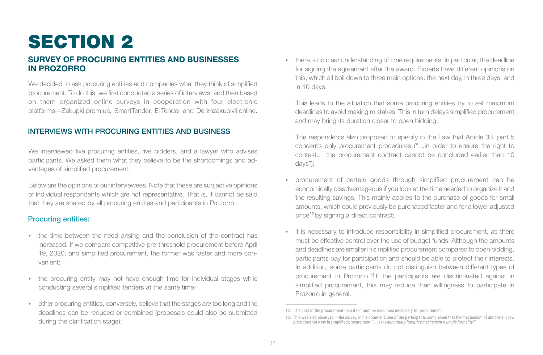## SECTION 2

### **SURVEY OF PROCURING ENTITIES AND BUSINESSES IN PROZORRO**

We decided to ask procuring entities and companies what they think of simplified procurement. To do this, we first conducted a series of interviews, and then based on them organized online surveys in cooperation with four electronic platforms—Zakupki.prom.ua, SmartTender, E-Tender and Derzhzakupivli.online.

#### INTERVIEWS WITH PROCURING ENTITIES AND BUSINESS

We interviewed five procuring entities, five bidders, and a lawyer who advises participants. We asked them what they believe to be the shortcomings and advantages of simplified procurement.

Below are the opinions of our interviewees. Note that these are subjective opinions of individual respondents which are not representative. That is, it cannot be said that they are shared by all procuring entities and participants in Prozorro.

#### Procuring entities:

- the time between the need arising and the conclusion of the contract has increased. If we compare competitive pre-threshold procurement before April 19, 2020, and simplified procurement, the former was faster and more convenient;
- the procuring entity may not have enough time for individual stages while conducting several simplified tenders at the same time;
- џ other procuring entities, conversely, believe that the stages are too long and the deadlines can be reduced or combined (proposals could also be submitted during the clarification stage);

there is no clear understanding of time requirements. In particular, the deadline for signing the agreement after the award. Experts have different opinions on this, which all boil down to three main options: the next day, in three days, and in 10 days.

This leads to the situation that some procuring entities try to set maximum deadlines to avoid making mistakes. This in turn delays simplified procurement and may bring its duration closer to open bidding.

The respondents also proposed to specify in the Law that Article 33, part 5 concerns only procurement procedures ("…in order to ensure the right to contest… the procurement contract cannot be concluded earlier than 10 days");

- procurement of certain goods through simplified procurement can be economically disadvantageous if you look at the time needed to organize it and the resulting savings. This mainly applies to the purchase of goods for small amounts, which could previously be purchased faster and for a lower adjusted price<sup>12</sup> by signing a direct contract;
- it is necessary to introduce responsibility in simplified procurement, as there must be effective control over the use of budget funds. Although the amounts and deadlines are smaller in simplified procurement compared to open bidding, participants pay for participation and should be able to protect their interests. In addition, some participants do not distinguish between different types of procurement in Prozorro.<sup>13</sup> If the participants are discriminated against in simplified procurement, this may reduce their willingness to participate in Prozorro in general.

<sup>12.</sup> The cost of the procurement item itself and the resources necessary for procurement

<sup>13.</sup> This was also observed in the survey. In his comment, one of the participants complained that the mechanism of abnormally low<br>price does not work in simplified procurement: "... Is the abnormally low price mechanism a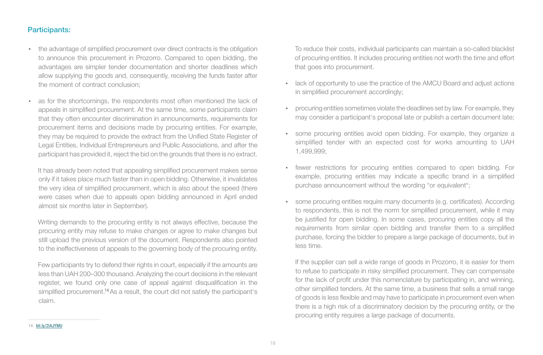#### Participants:

- the advantage of simplified procurement over direct contracts is the obligation to announce this procurement in Prozorro. Compared to open bidding, the advantages are simpler tender documentation and shorter deadlines which allow supplying the goods and, consequently, receiving the funds faster after the moment of contract conclusion;
- as for the shortcomings, the respondents most often mentioned the lack of appeals in simplified procurement. At the same time, some participants claim that they often encounter discrimination in announcements, requirements for procurement items and decisions made by procuring entities. For example, they may be required to provide the extract from the Unified State Register of Legal Entities, Individual Entrepreneurs and Public Associations, and after the participant has provided it, reject the bid on the grounds that there is no extract.

It has already been noted that appealing simplified procurement makes sense only if it takes place much faster than in open bidding. Otherwise, it invalidates the very idea of simplified procurement, which is also about the speed (there were cases when due to appeals open bidding announced in April ended almost six months later in September).

Writing demands to the procuring entity is not always effective, because the procuring entity may refuse to make changes or agree to make changes but still upload the previous version of the document. Respondents also pointed to the ineffectiveness of appeals to the governing body of the procuring entity.

Few participants try to defend their rights in court, especially if the amounts are less than UAH 200–300 thousand. Analyzing the court decisions in the relevant register, we found only one case of appeal against disqualification in the simplified procurement.<sup>14</sup> As a result, the court did not satisfy the participant's claim.

To reduce their costs, individual participants can maintain a so-called blacklist of procuring entities. It includes procuring entities not worth the time and effort that goes into procurement.

- lack of opportunity to use the practice of the AMCU Board and adjust actions in simplified procurement accordingly;
- џ procuring entities sometimes violate the deadlines set by law. For example, they may consider a participant's proposal late or publish a certain document late;
- some procuring entities avoid open bidding. For example, they organize a simplified tender with an expected cost for works amounting to UAH 1,499,999;
- fewer restrictions for procuring entities compared to open bidding. For example, procuring entities may indicate a specific brand in a simplified purchase announcement without the wording "or equivalent";
- some procuring entities require many documents (e.g. certificates). According to respondents, this is not the norm for simplified procurement, while it may be justified for open bidding. In some cases, procuring entities copy all the requirements from similar open bidding and transfer them to a simplified purchase, forcing the bidder to prepare a large package of documents, but in less time.

If the supplier can sell a wide range of goods in Prozorro, it is easier for them to refuse to participate in risky simplified procurement. They can compensate for the lack of profit under this nomenclature by participating in, and winning, other simplified tenders. At the same time, a business that sells a small range of goods is less flexible and may have to participate in procurement even when there is a high risk of a discriminatory decision by the procuring entity, or the procuring entity requires a large package of documents.

<sup>14.</sup> bit.ly/2IAJYMU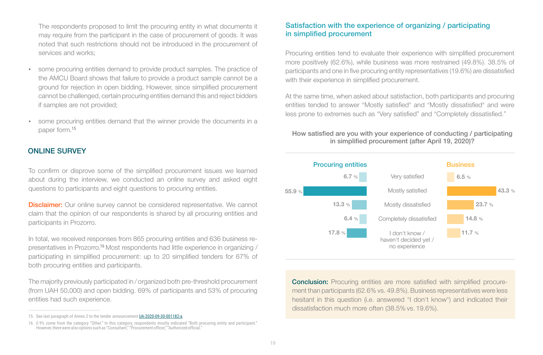The respondents proposed to limit the procuring entity in what documents it may require from the participant in the case of procurement of goods. It was noted that such restrictions should not be introduced in the procurement of services and works;

- some procuring entities demand to provide product samples. The practice of the AMCU Board shows that failure to provide a product sample cannot be a ground for rejection in open bidding. However, since simplified procurement cannot be challenged, certain procuring entities demand this and reject bidders if samples are not provided;
- some procuring entities demand that the winner provide the documents in a paper form. 15

#### ONLINE SURVEY

To confirm or disprove some of the simplified procurement issues we learned about during the interview, we conducted an online survey and asked eight questions to participants and eight questions to procuring entities.

**Disclaimer:** Our online survey cannot be considered representative. We cannot claim that the opinion of our respondents is shared by all procuring entities and participants in Prozorro.

In total, we received responses from 865 procuring entities and 636 business representatives in Prozorro.<sup>16</sup> Most respondents had little experience in organizing / participating in simplified procurement: up to 20 simplified tenders for 67% of both procuring entities and participants.

The majority previously participated in / organized both pre-threshold procurement (from UAH 50,000) and open bidding. 69% of participants and 53% of procuring entities had such experience.

#### Satisfaction with the experience of organizing / participating in simplified procurement

Procuring entities tend to evaluate their experience with simplified procurement more positively (62.6%), while business was more restrained (49.8%). 38.5% of participants and one in five procuring entity representatives (19.6%) are dissatisfied with their experience in simplified procurement.

At the same time, when asked about satisfaction, both participants and procuring entities tended to answer "Mostly satisfied" and "Mostly dissatisfied" and were less prone to extremes such as "Very satisfied" and "Completely dissatisfied."

#### How satisfied are you with your experience of conducting / participating in simplified procurement (after April 19, 2020)?



**Conclusion:** Procuring entities are more satisfied with simplified procurement than participants (62.6% vs. 49.8%). Business representatives were less hesitant in this question (i.e. answered "I don't know") and indicated their dissatisfaction much more often (38.5% vs. 19.6%).

<sup>15.</sup> See last paragraph of Annex 2 to the tender announcement UA-2020-09-30-001182-a

<sup>16. 0.9%</sup> come from the category "Other." In this category, respondents mostly indicated "Both procuring entity and participant." However, there were also options such as "Consultant," "Procurement officer," "Authorized official."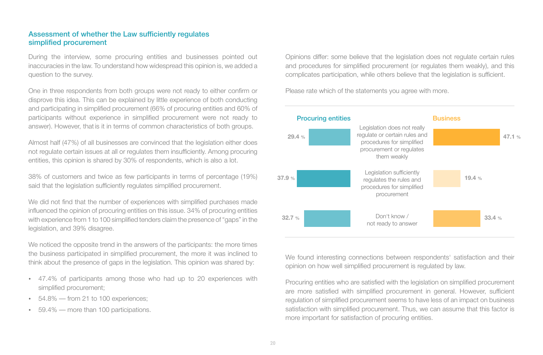#### Assessment of whether the Law sufficiently regulates simplified procurement

During the interview, some procuring entities and businesses pointed out inaccuracies in the law. To understand how widespread this opinion is, we added a question to the survey.

One in three respondents from both groups were not ready to either confirm or disprove this idea. This can be explained by little experience of both conducting and participating in simplified procurement (66% of procuring entities and 60% of participants without experience in simplified procurement were not ready to answer). However, that is it in terms of common characteristics of both groups.

Almost half (47%) of all businesses are convinced that the legislation either does not regulate certain issues at all or regulates them insufficiently. Among procuring entities, this opinion is shared by 30% of respondents, which is also a lot.

38% of customers and twice as few participants in terms of percentage (19%) said that the legislation sufficiently regulates simplified procurement.

We did not find that the number of experiences with simplified purchases made influenced the opinion of procuring entities on this issue. 34% of procuring entities with experience from 1 to 100 simplified tenders claim the presence of "gaps" in the legislation, and 39% disagree.

We noticed the opposite trend in the answers of the participants: the more times the business participated in simplified procurement, the more it was inclined to think about the presence of gaps in the legislation. This opinion was shared by:

- 47.4% of participants among those who had up to 20 experiences with simplified procurement;
- $54.8\%$  from 21 to 100 experiences;
- 59.4% more than 100 participations.

Opinions differ: some believe that the legislation does not regulate certain rules and procedures for simplified procurement (or regulates them weakly), and this complicates participation, while others believe that the legislation is sufficient.

Please rate which of the statements you agree with more.



We found interesting connections between respondents' satisfaction and their opinion on how well simplified procurement is regulated by law.

Procuring entities who are satisfied with the legislation on simplified procurement are more satisfied with simplified procurement in general. However, sufficient regulation of simplified procurement seems to have less of an impact on business satisfaction with simplified procurement. Thus, we can assume that this factor is more important for satisfaction of procuring entities.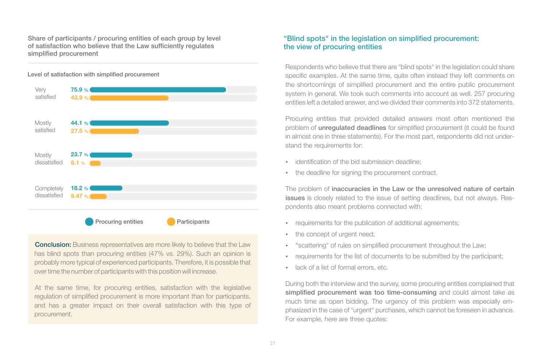Share of participants / procuring entities of each group by level of satisfaction who believe that the Law sufficiently regulates simplified procurement



Level of satisfaction with simplified procurement

**Conclusion:** Business representatives are more likely to believe that the Law has blind spots than procuring entities (47% vs. 29%). Such an opinion is probably more typical of experienced participants. Therefore, it is possible that over time the number of participants with this position will increase.

At the same time, for procuring entities, satisfaction with the legislative regulation of simplified procurement is more important than for participants, and has a greater impact on their overall satisfaction with this type of procurement.

#### "Blind spots" in the legislation on simplified procurement: the view of procuring entities

Respondents who believe that there are "blind spots" in the legislation could share specific examples. At the same time, quite often instead they left comments on the shortcomings of simplified procurement and the entire public procurement system in general. We took such comments into account as well. 257 procuring entities left a detailed answer, and we divided their comments into 372 statements.

Procuring entities that provided detailed answers most often mentioned the problem of unregulated deadlines for simplified procurement (it could be found in almost one in three statements). For the most part, respondents did not understand the requirements for:

- identification of the bid submission deadline:
- the deadline for signing the procurement contract.

The problem of inaccuracies in the Law or the unresolved nature of certain issues is closely related to the issue of setting deadlines, but not always. Respondents also meant problems connected with:

- requirements for the publication of additional agreements;
- the concept of urgent need:
- "scattering" of rules on simplified procurement throughout the Law;
- requirements for the list of documents to be submitted by the participant;
- lack of a list of formal errors, etc.

During both the interview and the survey, some procuring entities complained that simplified procurement was too time-consuming and could almost take as much time as open bidding. The urgency of this problem was especially emphasized in the case of "urgent" purchases, which cannot be foreseen in advance. For example, here are three quotes: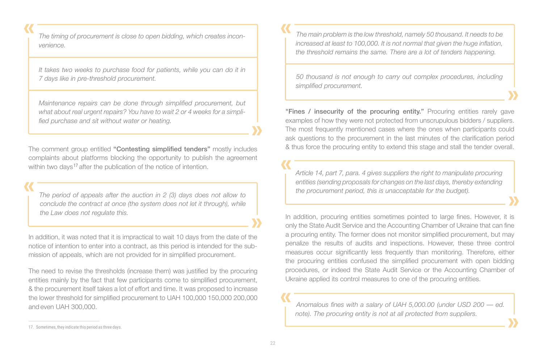*The timing of procurement is close to open bidding, which creates inconvenience.*

*It takes two weeks to purchase food for patients, while you can do it in 7 days like in pre-threshold procurement.*

*Maintenance repairs can be done through simplified procurement, but what about real urgent repairs? You have to wait 2 or 4 weeks for a simplified purchase and sit without water or heating.*

The comment group entitled "Contesting simplified tenders" mostly includes complaints about platforms blocking the opportunity to publish the agreement within two days<sup>17</sup> after the publication of the notice of intention.

*The period of appeals after the auction in 2 (3) days does not allow to conclude the contract at once (the system does not let it through), while the Law does not regulate this.*

In addition, it was noted that it is impractical to wait 10 days from the date of the notice of intention to enter into a contract, as this period is intended for the submission of appeals, which are not provided for in simplified procurement.

The need to revise the thresholds (increase them) was justified by the procuring entities mainly by the fact that few participants come to simplified procurement, & the procurement itself takes a lot of effort and time. It was proposed to increase the lower threshold for simplified procurement to UAH 100,000 150,000 200,000 and even UAH 300,000.

*The main problem is the low threshold, namely 50 thousand. It needs to be increased at least to 100,000. It is not normal that given the huge inflation, the threshold remains the same. There are a lot of tenders happening.*

*50 thousand is not enough to carry out complex procedures, including simplified procurement.*

"Fines / insecurity of the procuring entity." Procuring entities rarely gave examples of how they were not protected from unscrupulous bidders / suppliers. The most frequently mentioned cases where the ones when participants could ask questions to the procurement in the last minutes of the clarification period & thus force the procuring entity to extend this stage and stall the tender overall.

*Article 14, part 7, para. 4 gives suppliers the right to manipulate procuring entities (sending proposals for changes on the last days, thereby extending the procurement period, this is unacceptable for the budget).*

In addition, procuring entities sometimes pointed to large fines. However, it is only the State Audit Service and the Accounting Chamber of Ukraine that can fine a procuring entity. The former does not monitor simplified procurement, but may penalize the results of audits and inspections. However, these three control measures occur significantly less frequently than monitoring. Therefore, either the procuring entities confused the simplified procurement with open bidding procedures, or indeed the State Audit Service or the Accounting Chamber of Ukraine applied its control measures to one of the procuring entities.

*Anomalous fines with a salary of UAH 5,000.00 (under USD 200 — ed. note). The procuring entity is not at all protected from suppliers.*

<sup>17.</sup> Sometimes, they indicate this period as three days.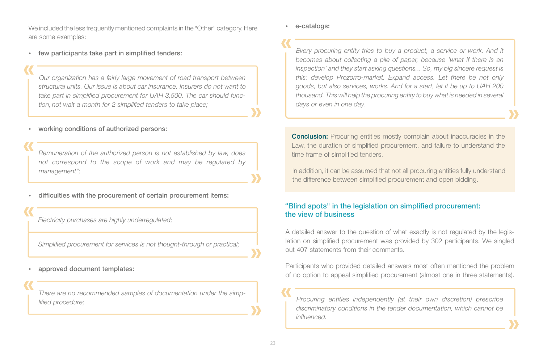**23**

We included the less frequently mentioned complaints in the "Other" category. Here are some examples:

few participants take part in simplified tenders:

*Our organization has a fairly large movement of road transport between structural units. Our issue is about car insurance. Insurers do not want to take part in simplified procurement for UAH 3,500. The car should function, not wait a month for 2 simplified tenders to take place;*

working conditions of authorized persons:

*Remuneration of the authorized person is not established by law, does not correspond to the scope of work and may be regulated by management";*

difficulties with the procurement of certain procurement items:

*Electricity purchases are highly underregulated;*

*Simplified procurement for services is not thought-through or practical;*

approved document templates:

*There are no recommended samples of documentation under the simplified procedure;*

e-catalogs:

*Every procuring entity tries to buy a product, a service or work. And it becomes about collecting a pile of paper, because 'what if there is an inspection' and they start asking questions... So, my big sincere request is this: develop Prozorro-market. Expand access. Let there be not only goods, but also services, works. And for a start, let it be up to UAH 200 thousand. This will help the procuring entity to buy what is needed in several days or even in one day.*

**Conclusion:** Procuring entities mostly complain about inaccuracies in the Law, the duration of simplified procurement, and failure to understand the time frame of simplified tenders.

In addition, it can be assumed that not all procuring entities fully understand the difference between simplified procurement and open bidding.

#### "Blind spots" in the legislation on simplified procurement: the view of business

A detailed answer to the question of what exactly is not regulated by the legislation on simplified procurement was provided by 302 participants. We singled out 407 statements from their comments.

Participants who provided detailed answers most often mentioned the problem of no option to appeal simplified procurement (almost one in three statements).

*Procuring entities independently (at their own discretion) prescribe discriminatory conditions in the tender documentation, which cannot be influenced.*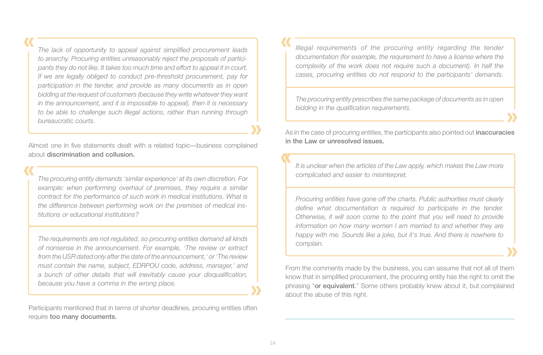*The lack of opportunity to appeal against simplified procurement leads to anarchy. Procuring entities unreasonably reject the proposals of participants they do not like. It takes too much time and effort to appeal it in court. If we are legally obliged to conduct pre-threshold procurement, pay for participation in the tender, and provide as many documents as in open bidding at the request of customers (because they write whatever they want in the announcement, and it is impossible to appeal), then it is necessary to be able to challenge such illegal actions, rather than running through bureaucratic courts.*

Almost one in five statements dealt with a related topic—business complained about discrimination and collusion.

*The procuring entity demands 'similar experience' at its own discretion. For example: when performing overhaul of premises, they require a similar contract for the performance of such work in medical institutions. What is the difference between performing work on the premises of medical institutions or educational institutions?*

*The requirements are not regulated, so procuring entities demand all kinds of nonsense in the announcement. For example, 'The review or extract from the USR dated only after the date of the announcement,' or 'The review must contain the name, subject, EDRPOU code, address, manager,' and a bunch of other details that will inevitably cause your disqualification, because you have a comma in the wrong place.*

Participants mentioned that in terms of shorter deadlines, procuring entities often require too many documents.

*Illegal requirements of the procuring entity regarding the tender documentation (for example, the requirement to have a license where the complexity of the work does not require such a document). In half the cases, procuring entities do not respond to the participants' demands.*

*The procuring entity prescribes the same package of documents as in open bidding in the qualification requirements.*

As in the case of procuring entities, the participants also pointed out *inaccuracies* in the Law or unresolved issues.

*It is unclear when the articles of the Law apply, which makes the Law more complicated and easier to misinterpret.*

*Procuring entities have gone off the charts. Public authorities must clearly define what documentation is required to participate in the tender. Otherwise, it will soon come to the point that you will need to provide information on how many women I am married to and whether they are happy with me. Sounds like a joke, but it's true. And there is nowhere to complain.*

From the comments made by the business, you can assume that not all of them know that in simplified procurement, the procuring entity has the right to omit the phrasing "or equivalent." Some others probably knew about it, but complained about the abuse of this right.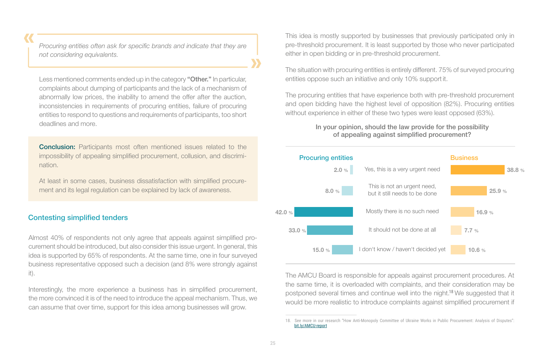*Procuring entities often ask for specific brands and indicate that they are not considering equivalents.*

Less mentioned comments ended up in the category "Other." In particular, complaints about dumping of participants and the lack of a mechanism of abnormally low prices, the inability to amend the offer after the auction, inconsistencies in requirements of procuring entities, failure of procuring entities to respond to questions and requirements of participants, too short deadlines and more.

**Conclusion:** Participants most often mentioned issues related to the impossibility of appealing simplified procurement, collusion, and discrimination.

At least in some cases, business dissatisfaction with simplified procurement and its legal regulation can be explained by lack of awareness.

#### Contesting simplified tenders

Almost 40% of respondents not only agree that appeals against simplified procurement should be introduced, but also consider this issue urgent. In general, this idea is supported by 65% of respondents. At the same time, one in four surveyed business representative opposed such a decision (and 8% were strongly against it).

Interestingly, the more experience a business has in simplified procurement, the more convinced it is of the need to introduce the appeal mechanism. Thus, we can assume that over time, support for this idea among businesses will grow.

This idea is mostly supported by businesses that previously participated only in pre-threshold procurement. It is least supported by those who never participated either in open bidding or in pre-threshold procurement.

The situation with procuring entities is entirely different. 75% of surveyed procuring entities oppose such an initiative and only 10% support it.

The procuring entities that have experience both with pre-threshold procurement and open bidding have the highest level of opposition (82%). Procuring entities without experience in either of these two types were least opposed (63%).

#### In your opinion, should the law provide for the possibility of appealing against simplified procurement?



The AMCU Board is responsible for appeals against procurement procedures. At the same time, it is overloaded with complaints, and their consideration may be postponed several times and continue well into the night.<sup>18</sup> We suggested that it would be more realistic to introduce complaints against simplified procurement if

See more in our research "How Anti-Monopoly Committee of Ukraine Works in Public Procurement: Analysis of Disputes": bit.ly/AMCU-report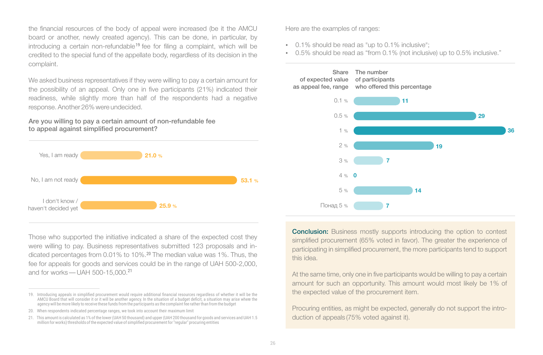the financial resources of the body of appeal were increased (be it the AMCU board or another, newly created agency). This can be done, in particular, by introducing a certain non-refundable<sup>19</sup> fee for filing a complaint, which will be credited to the special fund of the appellate body, regardless of its decision in the complaint.

We asked business representatives if they were willing to pay a certain amount for the possibility of an appeal. Only one in five participants (21%) indicated their readiness, while slightly more than half of the respondents had a negative response. Another 26% were undecided.

Are you willing to pay a certain amount of non-refundable fee to appeal against simplified procurement?



Those who supported the initiative indicated a share of the expected cost they were willing to pay. Business representatives submitted 123 proposals and indicated percentages from 0.01% to 10%.<sup>20</sup> The median value was 1%. Thus, the fee for appeals for goods and services could be in the range of UAH 500-2,000, and for works — UAH 500-15,000.<sup>21</sup>

Here are the examples of ranges:

- $\cdot$  0.1% should be read as "up to 0.1% inclusive";
- 0.5% should be read as "from 0.1% (not inclusive) up to 0.5% inclusive."



**Conclusion:** Business mostly supports introducing the option to contest simplified procurement (65% voted in favor). The greater the experience of participating in simplified procurement, the more participants tend to support this idea.

At the same time, only one in five participants would be willing to pay a certain amount for such an opportunity. This amount would most likely be 1% of the expected value of the procurement item.

Procuring entities, as might be expected, generally do not support the introduction of appeals (75% voted against it).

<sup>19</sup>.іі Introducing appeals in simplified procurement would require additional financial resources regardless of whether it will be the AMCU Board that will consider it or it will be another agency. In the situation of a budget deficit, a situation may arise where the agency will be more likely to receive these funds from the participants as the complaint fee rather than from the budget

<sup>20.</sup> When respondents indicated percentage ranges, we took into account their maximum limit

<sup>21.</sup> This amount is calculated as 1% of the lower (UAH 50 thousand) and upper (UAH 200 thousand for goods and services and UAH 1.5 million for works) thresholds of the expected value of simplified procurement for "regular" procuring entities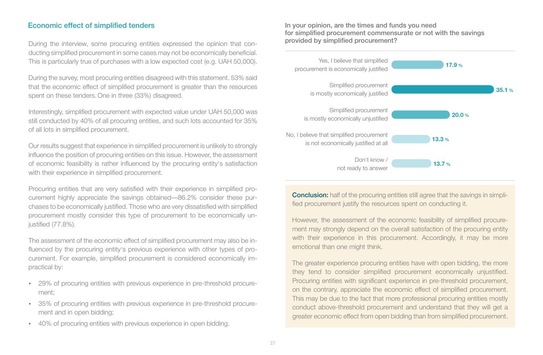During the interview, some procuring entities expressed the opinion that conducting simplified procurement in some cases may not be economically beneficial. This is particularly true of purchases with a low expected cost (e.g. UAH 50,000).

During the survey, most procuring entities disagreed with this statement. 53% said that the economic effect of simplified procurement is greater than the resources spent on these tenders. One in three (33%) disagreed.

Interestingly, simplified procurement with expected value under UAH 50,000 was still conducted by 40% of all procuring entities, and such lots accounted for 35% of all lots in simplified procurement.

Our results suggest that experience in simplified procurement is unlikely to strongly influence the position of procuring entities on this issue. However, the assessment of economic feasibility is rather influenced by the procuring entity's satisfaction with their experience in simplified procurement.

Procuring entities that are very satisfied with their experience in simplified procurement highly appreciate the savings obtained—86.2% consider these purchases to be economically justified. Those who are very dissatisfied with simplified procurement mostly consider this type of procurement to be economically unjustified (77.8%).

The assessment of the economic effect of simplified procurement may also be influenced by the procuring entity's previous experience with other types of procurement. For example, simplified procurement is considered economically impractical by:

- 29% of procuring entities with previous experience in pre-threshold procurement;
- џ 35% of procuring entities with previous experience in pre-threshold procurement and in open bidding;
- 40% of procuring entities with previous experience in open bidding.

Economic effect of simplified tenders **In the state of simplified tenders** In your opinion, are the times and funds you need for simplified procurement commensurate or not with the savings provided by simplified procurement?



**Conclusion:** half of the procuring entities still agree that the savings in simplified procurement justify the resources spent on conducting it.

However, the assessment of the economic feasibility of simplified procurement may strongly depend on the overall satisfaction of the procuring entity with their experience in this procurement. Accordingly, it may be more emotional than one might think.

The greater experience procuring entities have with open bidding, the more they tend to consider simplified procurement economically unjustified. Procuring entities with significant experience in pre-threshold procurement, on the contrary, appreciate the economic effect of simplified procurement. This may be due to the fact that more professional procuring entities mostly conduct above-threshold procurement and understand that they will get a greater economic effect from open bidding than from simplified procurement.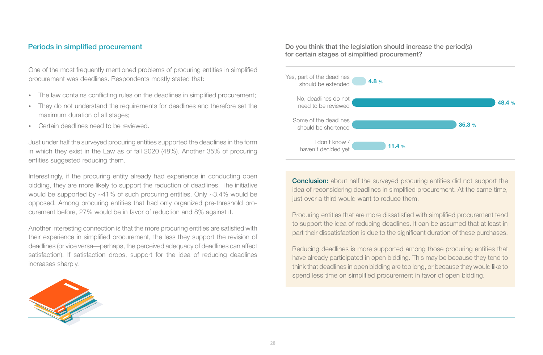One of the most frequently mentioned problems of procuring entities in simplified procurement was deadlines. Respondents mostly stated that:

- The law contains conflicting rules on the deadlines in simplified procurement:
- They do not understand the requirements for deadlines and therefore set the maximum duration of all stages;
- Certain deadlines need to be reviewed.

Just under half the surveyed procuring entities supported the deadlines in the form in which they exist in the Law as of fall 2020 (48%). Another 35% of procuring entities suggested reducing them.

Interestingly, if the procuring entity already had experience in conducting open bidding, they are more likely to support the reduction of deadlines. The initiative would be supported by ~41% of such procuring entities. Only ~3.4% would be opposed. Among procuring entities that had only organized pre-threshold procurement before, 27% would be in favor of reduction and 8% against it.

Another interesting connection is that the more procuring entities are satisfied with their experience in simplified procurement, the less they support the revision of deadlines (or vice versa—perhaps, the perceived adequacy of deadlines can affect satisfaction). If satisfaction drops, support for the idea of reducing deadlines increases sharply.



Periods in simplified procurement **Do you think** that the legislation should increase the period(s) for certain stages of simplified procurement?



**Conclusion:** about half the surveyed procuring entities did not support the idea of reconsidering deadlines in simplified procurement. At the same time, just over a third would want to reduce them.

Procuring entities that are more dissatisfied with simplified procurement tend to support the idea of reducing deadlines. It can be assumed that at least in part their dissatisfaction is due to the significant duration of these purchases.

Reducing deadlines is more supported among those procuring entities that have already participated in open bidding. This may be because they tend to think that deadlines in open bidding are too long, or because they would like to spend less time on simplified procurement in favor of open bidding.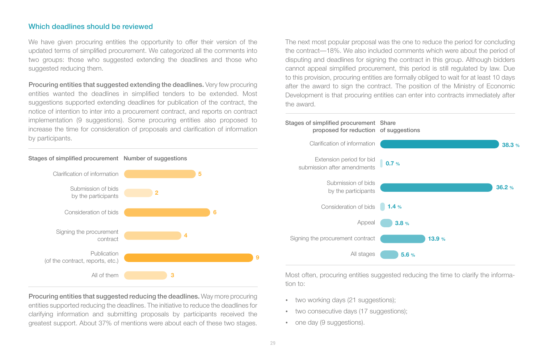#### Which deadlines should be reviewed

We have given procuring entities the opportunity to offer their version of the updated terms of simplified procurement. We categorized all the comments into two groups: those who suggested extending the deadlines and those who suggested reducing them.

Procuring entities that suggested extending the deadlines. Very few procuring entities wanted the deadlines in simplified tenders to be extended. Most suggestions supported extending deadlines for publication of the contract, the notice of intention to inter into a procurement contract, and reports on contract implementation (9 suggestions). Some procuring entities also proposed to increase the time for consideration of proposals and clarification of information by participants.

The next most popular proposal was the one to reduce the period for concluding the contract—18%. We also included comments which were about the period of disputing and deadlines for signing the contract in this group. Although bidders cannot appeal simplified procurement, this period is still regulated by law. Due to this provision, procuring entities are formally obliged to wait for at least 10 days after the award to sign the contract. The position of the Ministry of Economic Development is that procuring entities can enter into contracts immediately after the award.



Most often, procuring entities suggested reducing the time to clarify the information to:

- two working days (21 suggestions);
- two consecutive days (17 suggestions);
- one day (9 suggestions).

#### Stages of simplified procurement Number of suggestions



Procuring entities that suggested reducing the deadlines. Way more procuring entities supported reducing the deadlines. The initiative to reduce the deadlines for clarifying information and submitting proposals by participants received the greatest support. About 37% of mentions were about each of these two stages.

**9**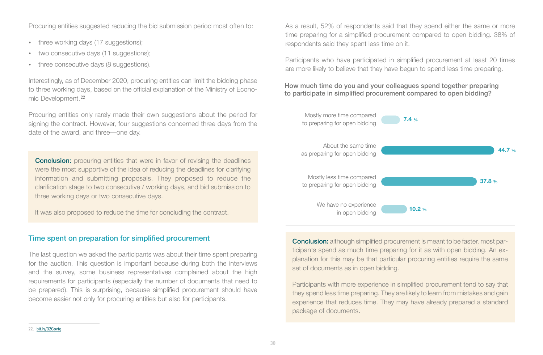Procuring entities suggested reducing the bid submission period most often to:

- three working days (17 suggestions);
- two consecutive days (11 suggestions);
- three consecutive days (8 suggestions).

Interestingly, as of December 2020, procuring entities can limit the bidding phase to three working days, based on the official explanation of the Ministry of Economic Development. 22

Procuring entities only rarely made their own suggestions about the period for signing the contract. However, four suggestions concerned three days from the date of the award, and three—one day.

**Conclusion:** procuring entities that were in favor of revising the deadlines were the most supportive of the idea of reducing the deadlines for clarifying information and submitting proposals. They proposed to reduce the clarification stage to two consecutive / working days, and bid submission to three working days or two consecutive days.

It was also proposed to reduce the time for concluding the contract.

#### Time spent on preparation for simplified procurement

The last question we asked the participants was about their time spent preparing for the auction. This question is important because during both the interviews and the survey, some business representatives complained about the high requirements for participants (especially the number of documents that need to be prepared). This is surprising, because simplified procurement should have become easier not only for procuring entities but also for participants.

As a result, 52% of respondents said that they spend either the same or more time preparing for a simplified procurement compared to open bidding. 38% of respondents said they spent less time on it.

Participants who have participated in simplified procurement at least 20 times are more likely to believe that they have begun to spend less time preparing.

#### How much time do you and your colleagues spend together preparing to participate in simplified procurement compared to open bidding?



Conclusion: although simplified procurement is meant to be faster, most participants spend as much time preparing for it as with open bidding. An explanation for this may be that particular procuring entities require the same set of documents as in open bidding.

Participants with more experience in simplified procurement tend to say that they spend less time preparing. They are likely to learn from mistakes and gain experience that reduces time. They may have already prepared a standard package of documents.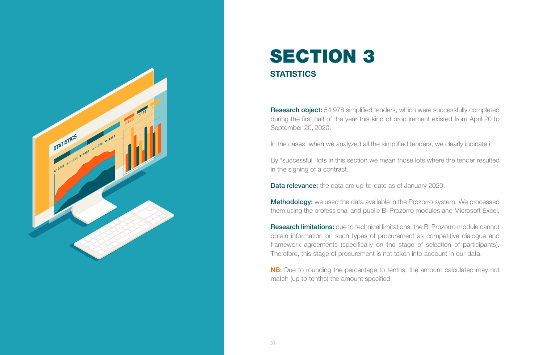

### **STATISTICS** SECTION 3

Research object: 54 978 simplified tenders, which were successfully completed during the first half of the year this kind of procurement existed from April 20 to September 20, 2020.

In the cases, when we analyzed all the simplified tenders, we clearly indicate it.

By "successful" lots in this section we mean those lots where the tender resulted in the signing of a contract.

**Data relevance:** the data are up-to-date as of January 2020.

Methodology: we used the data available in the Prozorro system. We processed them using the professional and public BI Prozorro modules and Microsoft Excel.

Research limitations: due to technical limitations, the BI Prozorro module cannot obtain information on such types of procurement as competitive dialogue and framework agreements (specifically on the stage of selection of participants). Therefore, this stage of procurement is not taken into account in our data.

**NB:** Due to rounding the percentage to tenths, the amount calculated may not match (up to tenths) the amount specified.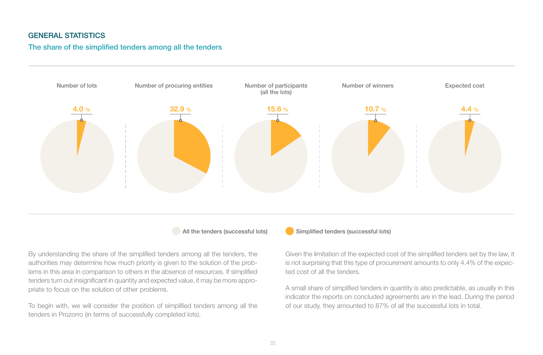#### GENERAL STATISTICS

#### The share of the simplified tenders among all the tenders



By understanding the share of the simplified tenders among all the tenders, the authorities may determine how much priority is given to the solution of the problems in this area in comparison to others in the absence of resources. If simplified tenders turn out insignificant in quantity and expected value, it may be more appropriate to focus on the solution of other problems.

To begin with, we will consider the position of simplified tenders among all the tenders in Prozorro (in terms of successfully completed lots).

#### All the tenders (successful lots) Simplified tenders (successful lots)

Given the limitation of the expected cost of the simplified tenders set by the law, it is not surprising that this type of procurement amounts to only 4.4% of the expected cost of all the tenders.

A small share of simplified tenders in quantity is also predictable, as usually in this indicator the reports on concluded agreements are in the lead. During the period of our study, they amounted to 87% of all the successful lots in total.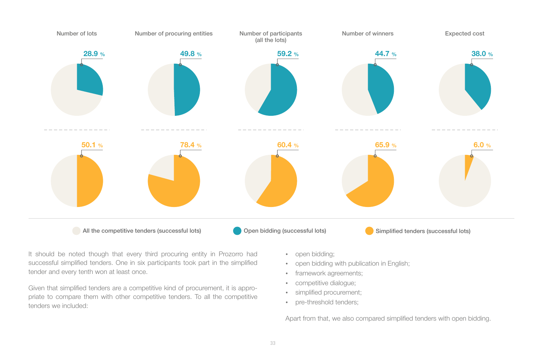

It should be noted though that every third procuring entity in Prozorro had successful simplified tenders. One in six participants took part in the simplified tender and every tenth won at least once.

Given that simplified tenders are a competitive kind of procurement, it is appropriate to compare them with other competitive tenders. To all the competitive tenders we included:

- open bidding:
- open bidding with publication in English;
- framework agreements;
- competitive dialogue;
- simplified procurement;
- pre-threshold tenders:

Apart from that, we also compared simplified tenders with open bidding.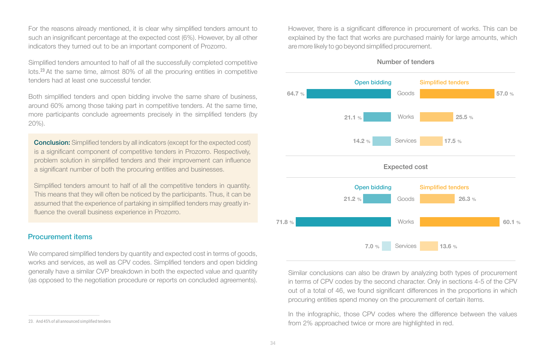For the reasons already mentioned, it is clear why simplified tenders amount to such an insignificant percentage at the expected cost (6%). However, by all other indicators they turned out to be an important component of Prozorro.

Simplified tenders amounted to half of all the successfully completed competitive lots.<sup>23</sup> At the same time, almost 80% of all the procuring entities in competitive tenders had at least one successful tender.

Both simplified tenders and open bidding involve the same share of business, around 60% among those taking part in competitive tenders. At the same time, more participants conclude agreements precisely in the simplified tenders (by 20%).

**Conclusion:** Simplified tenders by all indicators (except for the expected cost) is a significant component of competitive tenders in Prozorro. Respectively, problem solution in simplified tenders and their improvement can influence a significant number of both the procuring entities and businesses.

Simplified tenders amount to half of all the competitive tenders in quantity. This means that they will often be noticed by the participants. Thus, it can be assumed that the experience of partaking in simplified tenders may greatly influence the overall business experience in Prozorro.

#### Procurement items

We compared simplified tenders by quantity and expected cost in terms of goods, works and services, as well as CPV codes. Simplified tenders and open bidding generally have a similar CVP breakdown in both the expected value and quantity (as opposed to the negotiation procedure or reports on concluded agreements).

23. And 45% of all announced simplified tenders

However, there is a significant difference in procurement of works. This can be explained by the fact that works are purchased mainly for large amounts, which are more likely to go beyond simplified procurement.

Number of tenders



Similar conclusions can also be drawn by analyzing both types of procurement in terms of CPV codes by the second character. Only in sections 4-5 of the CPV out of a total of 46, we found significant differences in the proportions in which procuring entities spend money on the procurement of certain items.

In the infographic, those CPV codes where the difference between the values from 2% approached twice or more are highlighted in red.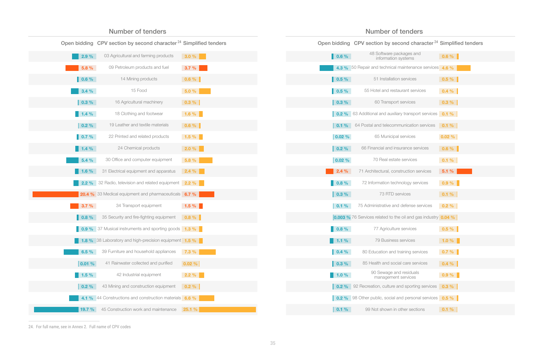|               | Open bidding CPV section by second character <sup>24</sup> Simplified tenders |           |
|---------------|-------------------------------------------------------------------------------|-----------|
| 2.9%          | 03 Agricultural and farming products                                          | 3.0%      |
| 5.8 %         | 09 Petroleum products and fuel                                                | 3.7%      |
| $0.6 \%$      | 14 Mining products                                                            | $0.6 \%$  |
| 3.4%          | 15 Food                                                                       | 5.0%      |
| $  0.3 \%$    | 16 Agricultural machinery                                                     | $0.3 \%$  |
| 1.4%          | 18 Clothing and footwear                                                      | 1.6%      |
| $0.2 \%$      | 19 Leather and textile materials                                              | $0.6\%$   |
| 0.7%          | 22 Printed and related products                                               | 1.5%      |
| 1.4%          | 24 Chemical products                                                          | 2.0%      |
| 5.4%          | 30 Office and computer equipment                                              | 5.8 %     |
| $1.6\%$       | 31 Electrical equipment and apparatus                                         | 2.4%      |
| 2.2%          | 32 Radio, television and related equipment 2.2 %                              |           |
|               | 20.4 % 33 Medical equipment and pharmaceuticals 6.7 %                         |           |
| 3.7%          | 34 Transport equipment                                                        | 1.5%      |
| $\vert$ 0.8 % | 35 Security and fire-fighting equipment                                       | $0.8\%$   |
|               | 0.9 % 37 Musical instruments and sporting goods 1.3 %                         |           |
|               | 1.8 % 38 Laboratory and high-precision equipment 1.5 %                        |           |
| 6.5%          | 39 Furniture and household appliances                                         | 7.3 %     |
| 0.01%         | 41 Rainwater collected and purified                                           | $0.02 \%$ |
| 1.5%          | 42 Industrial equipment                                                       | 2.2%      |
| $0.2 \%$      | 43 Mining and construction equipment                                          | $0.2 \%$  |
|               | 4.1 % 44 Constructions and construction materials 6.6 %                       |           |
| 19.7 %        | 45 Construction work and maintenance                                          | 25.1%     |
|               |                                                                               |           |

Number of tenders

#### Number of tenders

Open bidding CPV section by second character <sup>24</sup> Simplified tenders

| $\blacksquare$ 0.6 %  | 48 Software packages and<br>information systems                         | $0.6\%$   |
|-----------------------|-------------------------------------------------------------------------|-----------|
|                       | 4.3 % 50 Repair and technical maintenance services 4.6 %                |           |
| $0.5 \%$              | 51 Installation services                                                | $0.5 \%$  |
| $0.5 \%$              | 55 Hotel and restaurant services                                        | $0.4 \%$  |
| $0.3\%$               | 60 Transport services                                                   | $0.3 \%$  |
| $0.2 \%$              | 63 Additional and auxiliary transport services 0.1 %                    |           |
| $  0.1 \%$            | 64 Postal and telecommunication services                                | $0.1 \%$  |
| $0.02 \%$             | 65 Municipal services                                                   | $0.02 \%$ |
| $0.2 \%$              | 66 Financial and insurance services                                     | $0.6\%$   |
| 0.02 %                | 70 Real estate services                                                 | $0.1 \%$  |
| 2.4%                  | 71 Architectural, construction services                                 | 5.1%      |
| $0.8 \%$              | 72 Information technology services                                      | $0.9 \%$  |
| 0.3%                  | 73 RTD services                                                         | $0.1 \%$  |
| 0.1%                  | 75 Administrative and defense services                                  | $0.2 \%$  |
|                       | 0.003 % 76 Services related to the oil and gas industry 0.04 %          |           |
| $0.8 \%$              | 77 Agriculture services                                                 | $0.5 \%$  |
| 1.1%                  | 79 Business services                                                    | 1.0%      |
| 0.4%                  | 80 Education and training services                                      | $0.7 \%$  |
| $\vert 0.3\ \% \vert$ | 85 Health and social care services                                      | $0.4 \%$  |
| $1.0 \%$              | 90 Sewage and residuals<br>management services                          | 0.9%      |
| $  0.2 \%$            | 92 Recreation, culture and sporting services <b>0.3 %</b>               |           |
|                       | <b>0.2</b> % 98 Other public, social and personal services <b>0.5</b> % |           |
| 0.1%                  | 99 Not shown in other sections                                          | 0.1%      |

24. For full name, see in Annex 2. Full name of CPV codes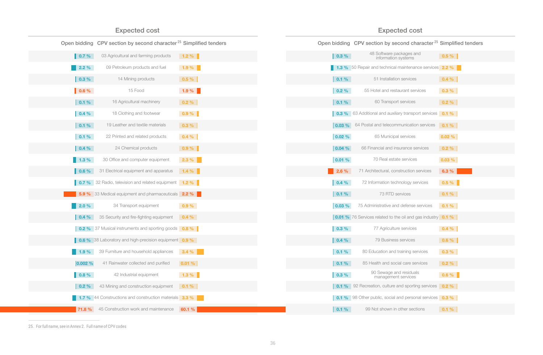#### Expected cost Expected cost

Open bidding CPV section by second character 25 Simplified tenders Open bidding CPV section by second character 25 Simplified tenders

| 0.7%                 | 03 Agricultural and farming products                                | $1.2 \%$ |
|----------------------|---------------------------------------------------------------------|----------|
| 2.2%                 | 09 Petroleum products and fuel                                      | 1.9 %    |
| $0.3\%$              | 14 Mining products                                                  | $0.5 \%$ |
| $0.6\%$              | 15 Food                                                             | 1.9%     |
| 0.1%                 | 16 Agricultural machinery                                           | $0.2 \%$ |
| $  0.4 \%$           | 18 Clothing and footwear                                            | $0.9 \%$ |
| 0.1%                 | 19 Leather and textile materials                                    | $0.3 \%$ |
| $0.1 \%$             | 22 Printed and related products                                     | $0.4 \%$ |
| $\vert 0.4 \% \vert$ | 24 Chemical products                                                | $0.9\%$  |
| $1.3 \%$             | 30 Office and computer equipment                                    | 2.3%     |
| $\vert 0.6 \% \vert$ | 31 Electrical equipment and apparatus                               | $1.4 \%$ |
| 0.7%                 | 32 Radio, television and related equipment                          | $1.2\%$  |
| 5.9%                 | 33 Medical equipment and pharmaceuticals 2.2 %                      |          |
| 2.0%                 | 34 Transport equipment                                              | 0.9%     |
| $  0.4 \%$           | 35 Security and fire-fighting equipment                             | $0.4 \%$ |
|                      | <b>0.2 %</b> 37 Musical instruments and sporting goods <b>0.8 %</b> |          |
|                      | 0.6 % 38 Laboratory and high-precision equipment 0.9 %              |          |
| 1.9%                 | 39 Furniture and household appliances                               | 3.4%     |
| 0.002%               | 41 Rainwater collected and purified                                 | 0.01%    |
| $0.8 \%$             | 42 Industrial equipment                                             | $1.3 \%$ |
| $0.2 \%$             | 43 Mining and construction equipment                                | $0.1 \%$ |
|                      | 1.7 % 44 Constructions and construction materials 3.3 %             |          |
| 71.8 %               | 45 Construction work and maintenance                                | 60.1 %   |
|                      |                                                                     |          |

| $0.3 \%$   | 48 Software packages and<br>information systems                            | $0.5 \%$  |
|------------|----------------------------------------------------------------------------|-----------|
|            | 1.3 % 50 Repair and technical maintenance services 2.2 %                   |           |
| 0.1%       | 51 Installation services                                                   | $0.4 \%$  |
| $0.2 \%$   | 55 Hotel and restaurant services                                           | $0.3 \%$  |
| 0.1%       | 60 Transport services                                                      | $0.2 \%$  |
| $  0.3 \%$ | 63 Additional and auxiliary transport services                             | $0.1 \%$  |
| 0.03%      | 64 Postal and telecommunication services                                   | $0.1 \%$  |
| 0.02 %     | 65 Municipal services                                                      | $0.02 \%$ |
| 0.04%      | 66 Financial and insurance services                                        | $0.2 \%$  |
| 0.01 %     | 70 Real estate services                                                    | 0.03%     |
| 2.6%       | 71 Architectural, construction services                                    | 6.3%      |
| $  0.4 \%$ | 72 Information technology services                                         | $0.5 \%$  |
| $  0.1 \%$ | 73 RTD services                                                            | $0.1 \%$  |
| 0.03 %     | 75 Administrative and defense services                                     | 0.1%      |
|            | <b>0.01 %</b> 76 Services related to the oil and gas industry <b>0.1 %</b> |           |
| $0.3 \%$   | 77 Agriculture services                                                    | $0.4 \%$  |
| $  0.4 \%$ | 79 Business services                                                       | $0.6\%$   |
| 0.1%       | 80 Education and training services                                         | $0.3 \%$  |
| $  0.1 \%$ | 85 Health and social care services                                         | $0.2 \%$  |
| $0.3 \%$   | 90 Sewage and residuals<br>management services                             | $0.6 \%$  |
| 0.1%       | 92 Recreation, culture and sporting services                               | $0.2 \%$  |
| $0.1 \%$   | 98 Other public, social and personal services   0.3 %                      |           |
| 0.1%       | 99 Not shown in other sections                                             | 0.1%      |

25. For full name, see in Annex 2. Full name of CPV codes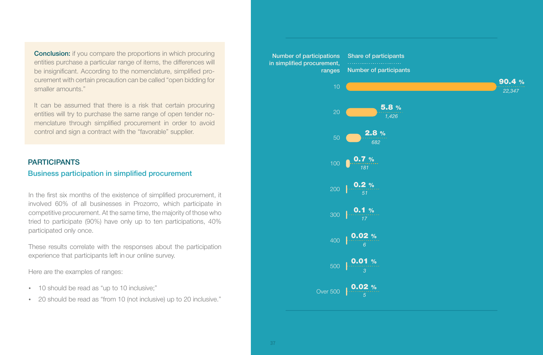**Conclusion:** if you compare the proportions in which procuring entities purchase a particular range of items, the differences will be insignificant. According to the nomenclature, simplified procurement with certain precaution can be called "open bidding for smaller amounts."

It can be assumed that there is a risk that certain procuring entities will try to purchase the same range of open tender nomenclature through simplified procurement in order to avoid control and sign a contract with the "favorable" supplier.

#### **PARTICIPANTS**

#### Business participation in simplified procurement

In the first six months of the existence of simplified procurement, it involved 60% of all businesses in Prozorro, which participate in competitive procurement. At the same time, the majority of those who tried to participate (90%) have only up to ten participations, 40% participated only once.

These results correlate with the responses about the participation experience that participants left in our online survey.

Here are the examples of ranges:

- 10 should be read as "up to 10 inclusive;"
- 20 should be read as "from 10 (not inclusive) up to 20 inclusive."

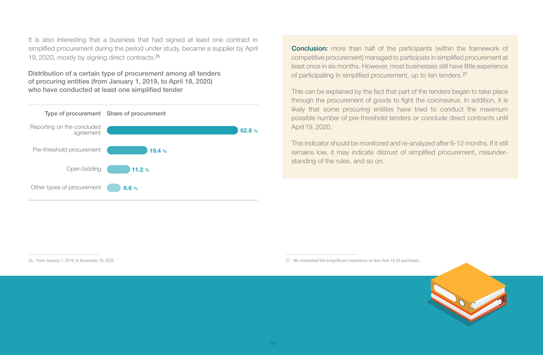It is also interesting that a business that had signed at least one contract in simplified procurement during the period under study, became a supplier by April 19, 2020, mostly by signing direct contracts. 26

Distribution of a certain type of procurement among all tenders of procuring entities (from January 1, 2019, to April 18, 2020) who have conducted at least one simplified tender



**Conclusion:** more than half of the participants (within the framework of competitive procurement) managed to participate in simplified procurement at least once in six months. However, most businesses still have little experience of participating in simplified procurement, up to ten tenders. 27

This can be explained by the fact that part of the tenders began to take place through the procurement of goods to fight the coronavirus. In addition, it is likely that some procuring entities have tried to conduct the maximum possible number of pre-threshold tenders or conclude direct contracts until April 19, 2020.

This indicator should be monitored and re-analyzed after 6-12 months. If it still remains low, it may indicate distrust of simplified procurement, misunderstanding of the rules, and so on.

26. From January 1, 2019, to November 18, 2020



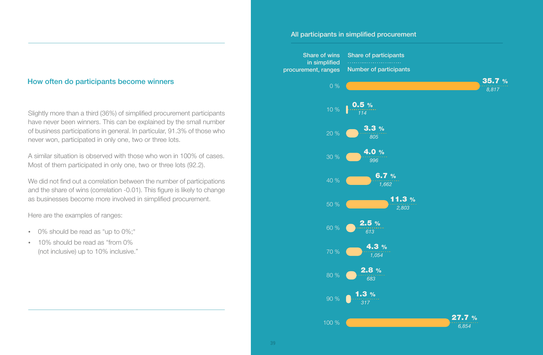#### How often do participants become winners

Slightly more than a third (36%) of simplified procurement participants have never been winners. This can be explained by the small number of business participations in general. In particular, 91.3% of those who never won, participated in only one, two or three lots.

A similar situation is observed with those who won in 100% of cases. Most of them participated in only one, two or three lots (92.2).

We did not find out a correlation between the number of participations and the share of wins (correlation -0.01). This figure is likely to change as businesses become more involved in simplified procurement.

Here are the examples of ranges:

- 0% should be read as "up to 0%;"
- 10% should be read as "from 0% (not inclusive) up to 10% inclusive."

#### All participants in simplified procurement

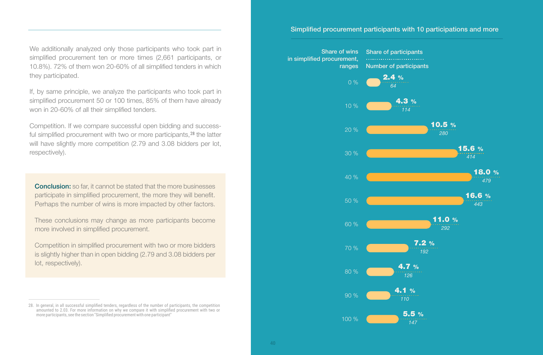We additionally analyzed only those participants who took part in simplified procurement ten or more times (2,661 participants, or 10.8%). 72% of them won 20-60% of all simplified tenders in which they participated.

If, by same principle, we analyze the participants who took part in simplified procurement 50 or 100 times, 85% of them have already won in 20-60% of all their simplified tenders.

Competition. If we compare successful open bidding and successful simplified procurement with two or more participants,<sup>28</sup> the latter will have slightly more competition (2.79 and 3.08 bidders per lot, respectively).

**Conclusion:** so far, it cannot be stated that the more businesses participate in simplified procurement, the more they will benefit. Perhaps the number of wins is more impacted by other factors.

These conclusions may change as more participants become more involved in simplified procurement.

Competition in simplified procurement with two or more bidders is slightly higher than in open bidding (2.79 and 3.08 bidders per lot, respectively).

#### Simplified procurement participants with 10 participations and more



<sup>28.</sup> In general, in all successful simplified tenders, regardless of the number of participants, the competition amounted to 2.03. For more information on why we compare it with simplified procurement with two or more participants, see the section "Simplified procurement with one participant"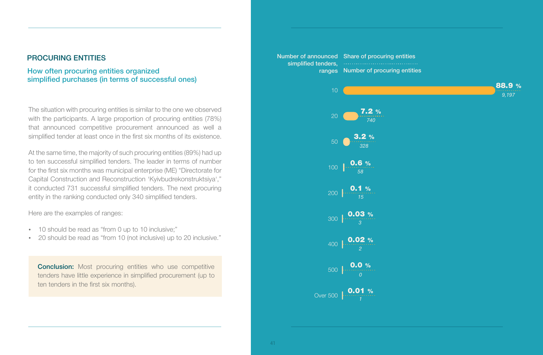#### PROCURING ENTITIES

#### How often procuring entities organized simplified purchases (in terms of successful ones)

The situation with procuring entities is similar to the one we observed with the participants. A large proportion of procuring entities (78%) that announced competitive procurement announced as well a simplified tender at least once in the first six months of its existence.

At the same time, the majority of such procuring entities (89%) had up to ten successful simplified tenders. The leader in terms of number for the first six months was municipal enterprise (ME) "Directorate for Capital Construction and Reconstruction 'Kyivbudrekonstruktsiya'," it conducted 731 successful simplified tenders. The next procuring entity in the ranking conducted only 340 simplified tenders.

Here are the examples of ranges:

- 10 should be read as "from 0 up to 10 inclusive;"
- \* 20 should be read as "from 10 (not inclusive) up to 20 inclusive."

**Conclusion:** Most procuring entities who use competitive tenders have little experience in simplified procurement (up to ten tenders in the first six months).

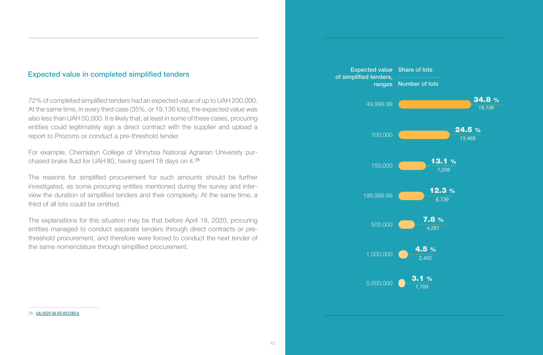#### Expected value in completed simplified tenders

72% of completed simplified tenders had an expected value of up to UAH 200,000. At the same time, in every third case (35%, or 19,136 lots), the expected value was also less than UAH 50,000. It is likely that, at least in some of these cases, procuring entities could legitimately sign a direct contract with the supplier and upload a report to Prozorro or conduct a pre-threshold tender.

For example, Cherniatyn College of Vinnytsia National Agrarian University purchased brake fluid for UAH 80, having spent 18 days on it. 29

The reasons for simplified procurement for such amounts should be further investigated, as some procuring entities mentioned during the survey and interview the duration of simplified tenders and their complexity. At the same time, a third of all lots could be omitted.

The explanations for this situation may be that before April 19, 2020, procuring entities managed to conduct separate tenders through direct contracts or prethreshold procurement, and therefore were forced to conduct the next tender of the same nomenclature through simplified procurement.



29. UA-2020-06-05-002285-b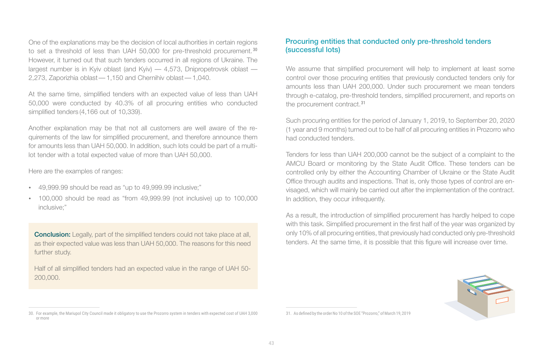to set a threshold of less than UAH 50,000 for pre-threshold procurement.<sup>30</sup> One of the explanations may be the decision of local authorities in certain regions However, it turned out that such tenders occurred in all regions of Ukraine. The largest number is in Kyiv oblast (and Kyiv) — 4,573, Dnipropetrovsk oblast — 2,273, Zaporizhia oblast — 1,150 and Chernihiv oblast — 1,040.

At the same time, simplified tenders with an expected value of less than UAH 50,000 were conducted by 40.3% of all procuring entities who conducted simplified tenders (4,166 out of 10,339).

Another explanation may be that not all customers are well aware of the requirements of the law for simplified procurement, and therefore announce them for amounts less than UAH 50,000. In addition, such lots could be part of a multilot tender with a total expected value of more than UAH 50,000.

Here are the examples of ranges:

- 49,999.99 should be read as "up to 49,999.99 inclusive;"
- 100,000 should be read as "from 49,999.99 (not inclusive) up to 100,000 inclusive;"

**Conclusion:** Legally, part of the simplified tenders could not take place at all, as their expected value was less than UAH 50,000. The reasons for this need further study.

Half of all simplified tenders had an expected value in the range of UAH 50- 200,000.

#### 30. For example, the Mariupol City Council made it obligatory to use the Prozorro system in tenders with expected cost of UAH 3,000 or more

#### Procuring entities that conducted only pre-threshold tenders (successful lots)

We assume that simplified procurement will help to implement at least some control over those procuring entities that previously conducted tenders only for amounts less than UAH 200,000. Under such procurement we mean tenders through e-catalog, pre-threshold tenders, simplified procurement, and reports on the procurement contract.<sup>31</sup>

Such procuring entities for the period of January 1, 2019, to September 20, 2020 (1 year and 9 months) turned out to be half of all procuring entities in Prozorro who had conducted tenders.

Tenders for less than UAH 200,000 cannot be the subject of a complaint to the AMCU Board or monitoring by the State Audit Office. These tenders can be controlled only by either the Accounting Chamber of Ukraine or the State Audit Office through audits and inspections. That is, only those types of control are envisaged, which will mainly be carried out after the implementation of the contract. In addition, they occur infrequently.

As a result, the introduction of simplified procurement has hardly helped to cope with this task. Simplified procurement in the first half of the year was organized by only 10% of all procuring entities, that previously had conducted only pre-threshold tenders. At the same time, it is possible that this figure will increase over time.



31. As defined by the order No 10 of the SOE "Prozorro," of March 19, 2019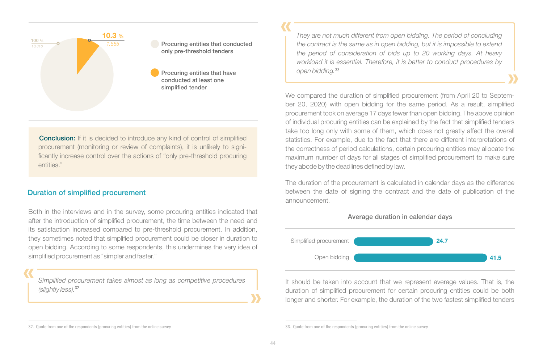

Procuring entities that conducted only pre-threshold tenders

Procuring entities that have conducted at least one simplified tender

**Conclusion:** If it is decided to introduce any kind of control of simplified procurement (monitoring or review of complaints), it is unlikely to significantly increase control over the actions of "only pre-threshold procuring entities."

#### Duration of simplified procurement

Both in the interviews and in the survey, some procuring entities indicated that after the introduction of simplified procurement, the time between the need and its satisfaction increased compared to pre-threshold procurement. In addition, they sometimes noted that simplified procurement could be closer in duration to open bidding. According to some respondents, this undermines the very idea of simplified procurement as "simpler and faster."

*Simplified procurement takes almost as long as competitive procedures (slightly less).* 32

*They are not much different from open bidding. The period of concluding the contract is the same as in open bidding, but it is impossible to extend the period of consideration of bids up to 20 working days. At heavy workload it is essential. Therefore, it is better to conduct procedures by open bidding.* 33

We compared the duration of simplified procurement (from April 20 to September 20, 2020) with open bidding for the same period. As a result, simplified procurement took on average 17 days fewer than open bidding. The above opinion of individual procuring entities can be explained by the fact that simplified tenders take too long only with some of them, which does not greatly affect the overall statistics. For example, due to the fact that there are different interpretations of the correctness of period calculations, certain procuring entities may allocate the maximum number of days for all stages of simplified procurement to make sure they abode by the deadlines defined by law.

The duration of the procurement is calculated in calendar days as the difference between the date of signing the contract and the date of publication of the announcement.





It should be taken into account that we represent average values. That is, the duration of simplified procurement for certain procuring entities could be both longer and shorter. For example, the duration of the two fastest simplified tenders

<sup>32.</sup> Quote from one of the respondents (procuring entities) from the online survey

<sup>33.</sup> Quote from one of the respondents (procuring entities) from the online survey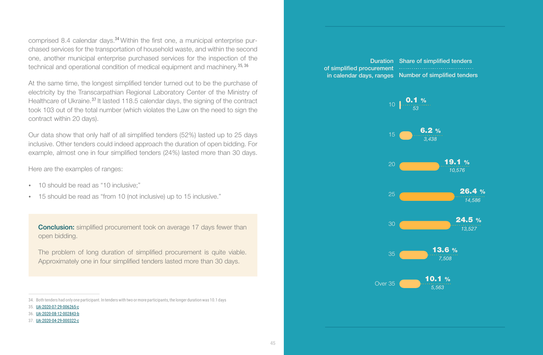comprised 8.4 calendar days.<sup>34</sup> Within the first one, a municipal enterprise purchased services for the transportation of household waste, and within the second one, another municipal enterprise purchased services for the inspection of the technical and operational condition of medical equipment and machinery.<sup>35, 36</sup>

At the same time, the longest simplified tender turned out to be the purchase of electricity by the Transcarpathian Regional Laboratory Center of the Ministry of Healthcare of Ukraine.<sup>37</sup> It lasted 118.5 calendar days, the signing of the contract took 103 out of the total number (which violates the Law on the need to sign the contract within 20 days).

Our data show that only half of all simplified tenders (52%) lasted up to 25 days inclusive. Other tenders could indeed approach the duration of open bidding. For example, almost one in four simplified tenders (24%) lasted more than 30 days.

Here are the examples of ranges:

- 10 should be read as "10 inclusive;"
- 15 should be read as "from 10 (not inclusive) up to 15 inclusive."

**Conclusion:** simplified procurement took on average 17 days fewer than open bidding.

The problem of long duration of simplified procurement is quite viable. Approximately one in four simplified tenders lasted more than 30 days.

### of simplified procurement

Duration Share of simplified tendersin calendar days, ranges Number of simplified tenders



<sup>34.</sup> Both tenders had only one participant. In tenders with two or more participants, the longer duration was 10.1 days

<sup>35.</sup> UA-2020-07-29-006265-c

<sup>36.</sup> UA-2020-08-12-002843-b

<sup>37.</sup> UA-2020-04-29-000322-c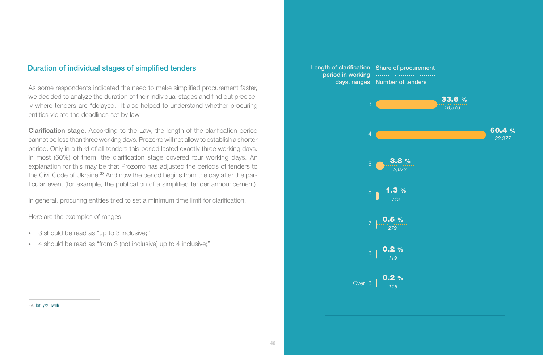#### Duration of individual stages of simplified tenders

As some respondents indicated the need to make simplified procurement faster, we decided to analyze the duration of their individual stages and find out precisely where tenders are "delayed." It also helped to understand whether procuring entities violate the deadlines set by law.

Clarification stage. According to the Law, the length of the clarification period cannot be less than three working days. Prozorro will not allow to establish a shorter period. Only in a third of all tenders this period lasted exactly three working days. In most (60%) of them, the clarification stage covered four working days. An explanation for this may be that Prozorro has adjusted the periods of tenders to the Civil Code of Ukraine.<sup>38</sup> And now the period begins from the day after the particular event (for example, the publication of a simplified tender announcement).

In general, procuring entities tried to set a minimum time limit for clarification.

Here are the examples of ranges:

- 3 should be read as "up to 3 inclusive;"
- џ 4 should be read as "from 3 (not inclusive) up to 4 inclusive;"



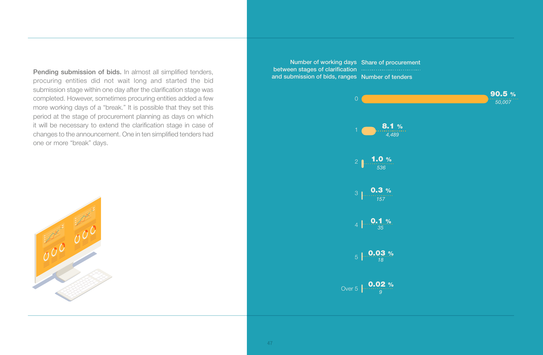Pending submission of bids. In almost all simplified tenders, procuring entities did not wait long and started the bid submission stage within one day after the clarification stage was completed. However, sometimes procuring entities added a few more working days of a "break." It is possible that they set this period at the stage of procurement planning as days on which it will be necessary to extend the clarification stage in case of changes to the announcement. One in ten simplified tenders had one or more "break" days.



Number of working days Share of procurementbetween stages of clarification and submission of bids, ranges Number of tenders

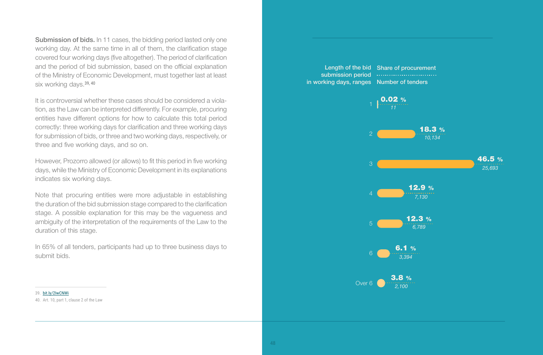Submission of bids. In 11 cases, the bidding period lasted only one working day. At the same time in all of them, the clarification stage covered four working days (five altogether). The period of clarification and the period of bid submission, based on the official explanation of the Ministry of Economic Development, must together last at least six working days.<sup>39, 40</sup>

It is controversial whether these cases should be considered a violation, as the Law can be interpreted differently. For example, procuring entities have different options for how to calculate this total period correctly: three working days for clarification and three working days for submission of bids, or three and two working days, respectively, or three and five working days, and so on.

However, Prozorro allowed (or allows) to fit this period in five working days, while the Ministry of Economic Development in its explanations indicates six working days.

Note that procuring entities were more adjustable in establishing the duration of the bid submission stage compared to the clarification stage. A possible explanation for this may be the vagueness and ambiguity of the interpretation of the requirements of the Law to the duration of this stage.

In 65% of all tenders, participants had up to three business days to submit bids.

Length of the bid Share of procurementsubmission period in working days, ranges Number of tenders



39. bit.ly/2IwCNWi

40. Art. 10, part 1, clause 2 of the Law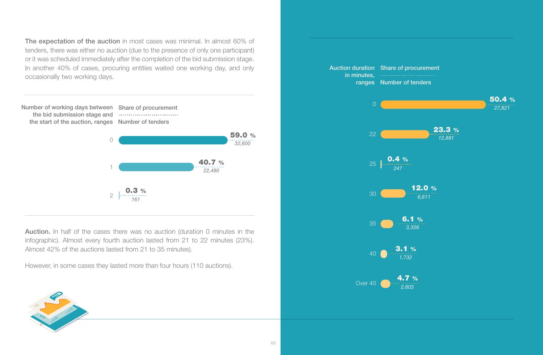The expectation of the auction in most cases was minimal. In almost 60% of tenders, there was either no auction (due to the presence of only one participant) or it was scheduled immediately after the completion of the bid submission stage. In another 40% of cases, procuring entities waited one working day, and only occasionally two working days.

Number of working days between Share of procurement the bid submission stage and the start of the auction, ranges Number of tenders



Auction. In half of the cases there was no auction (duration 0 minutes in the infographic). Almost every fourth auction lasted from 21 to 22 minutes (23%). Almost 42% of the auctions lasted from 21 to 35 minutes).

However, in some cases they lasted more than four hours (110 auctions).



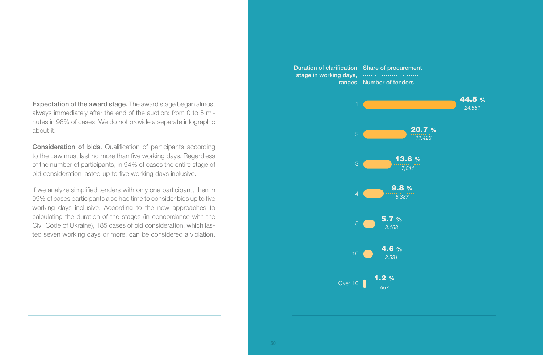Expectation of the award stage. The award stage began almost always immediately after the end of the auction: from 0 to 5 minutes in 98% of cases. We do not provide a separate infographic about it.

Consideration of bids. Qualification of participants according to the Law must last no more than five working days. Regardless of the number of participants, in 94% of cases the entire stage of bid consideration lasted up to five working days inclusive.

If we analyze simplified tenders with only one participant, then in 99% of cases participants also had time to consider bids up to five working days inclusive. According to the new approaches to calculating the duration of the stages (in concordance with the Civil Code of Ukraine), 185 cases of bid consideration, which lasted seven working days or more, can be considered a violation.

10 Over 10 44.5 % 20.7 % 13.6 % 9.8 % 5.7 % 4.6 % 1.2 % *24,561 11,426 7,511 5,387 3,168 2,531 667* Duration of clarification Share of procurementstage in working days, ranges Number of tenders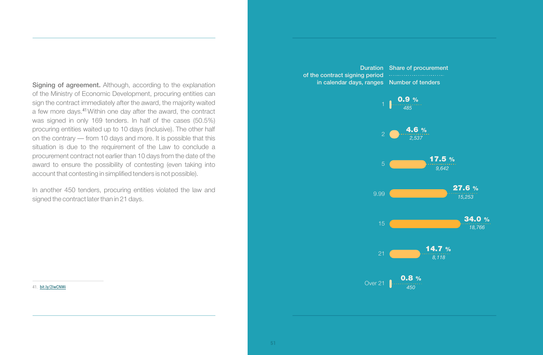Signing of agreement. Although, according to the explanation of the Ministry of Economic Development, procuring entities can sign the contract immediately after the award, the majority waited a few more days.<sup>41</sup> Within one day after the award, the contract was signed in only 169 tenders. In half of the cases (50.5%) procuring entities waited up to 10 days (inclusive). The other half on the contrary — from 10 days and more. It is possible that this situation is due to the requirement of the Law to conclude a procurement contract not earlier than 10 days from the date of the award to ensure the possibility of contesting (even taking into account that contesting in simplified tenders is not possible).

In another 450 tenders, procuring entities violated the law and signed the contract later than in 21 days.

9.99 21 Over 21 4.6 % 17.5 % 27.6 % 34.0 % 14.7 % 0.8 %  $0.9%$ *485 2,537 9,642 15,253 18,766 8,118 450* Duration Share of procurementof the contract signing period **CONCO** in calendar days, ranges Number of tenders

41. bit.ly/2IwCNWi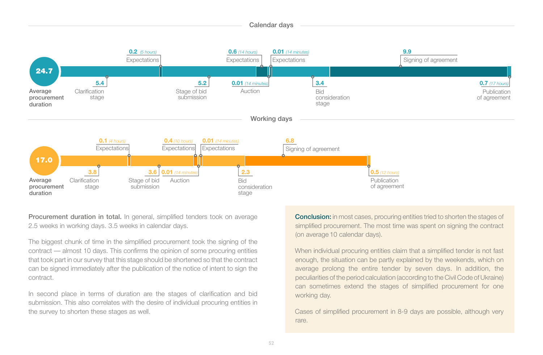

Procurement duration in total. In general, simplified tenders took on average 2.5 weeks in working days. 3.5 weeks in calendar days.

The biggest chunk of time in the simplified procurement took the signing of the contract — almost 10 days. This confirms the opinion of some procuring entities that took part in our survey that this stage should be shortened so that the contract can be signed immediately after the publication of the notice of intent to sign the contract.

In second place in terms of duration are the stages of clarification and bid submission. This also correlates with the desire of individual procuring entities in the survey to shorten these stages as well.

**Conclusion:** in most cases, procuring entities tried to shorten the stages of simplified procurement. The most time was spent on signing the contract (on average 10 calendar days).

When individual procuring entities claim that a simplified tender is not fast enough, the situation can be partly explained by the weekends, which on average prolong the entire tender by seven days. In addition, the peculiarities of the period calculation (according to the Civil Code of Ukraine) can sometimes extend the stages of simplified procurement for one working day.

Cases of simplified procurement in 8-9 days are possible, although very rare.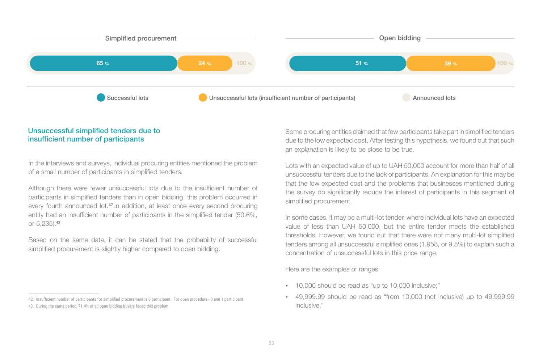

#### Unsuccessful simplified tenders due to insufficient number of participants

In the interviews and surveys, individual procuring entities mentioned the problem of a small number of participants in simplified tenders.

Although there were fewer unsuccessful lots due to the insufficient number of participants in simplified tenders than in open bidding, this problem occurred in every fourth announced lot.<sup>42</sup> In addition, at least once every second procuring entity had an insufficient number of participants in the simplified tender (50.6%, or 5,235).<sup>43</sup>

Based on the same data, it can be stated that the probability of successful simplified procurement is slightly higher compared to open bidding.

42. Insufficient number of participants for simplified procurement is 0 participant. For open procedure - 0 and 1 participant. 43. During the same period, 71.4% of all open bidding buyers faced this problem

Some procuring entities claimed that few participants take part in simplified tenders due to the low expected cost. After testing this hypothesis, we found out that such an explanation is likely to be close to be true.

Lots with an expected value of up to UAH 50,000 account for more than half of all unsuccessful tenders due to the lack of participants. An explanation for this may be that the low expected cost and the problems that businesses mentioned during the survey do significantly reduce the interest of participants in this segment of simplified procurement.

In some cases, it may be a multi-lot tender, where individual lots have an expected value of less than UAH 50,000, but the entire tender meets the established thresholds. However, we found out that there were not many multi-lot simplified tenders among all unsuccessful simplified ones (1,958, or 9.5%) to explain such a concentration of unsuccessful lots in this price range.

Here are the examples of ranges:

- 10,000 should be read as "up to 10,000 inclusive;"
- 49,999.99 should be read as "from 10,000 (not inclusive) up to 49,999.99 inclusive."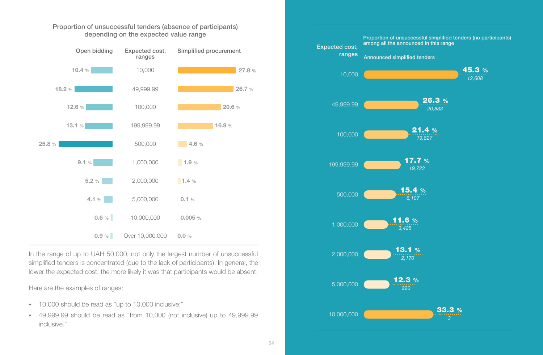

Proportion of unsuccessful tenders (absence of participants) depending on the expected value range

In the range of up to UAH 50,000, not only the largest number of unsuccessful simplified tenders is concentrated (due to the lack of participants). In general, the lower the expected cost, the more likely it was that participants would be absent.

Here are the examples of ranges:

- 10,000 should be read as "up to 10,000 inclusive;"
- 49,999.99 should be read as "from 10,000 (not inclusive) up to 49,999.99 inclusive."

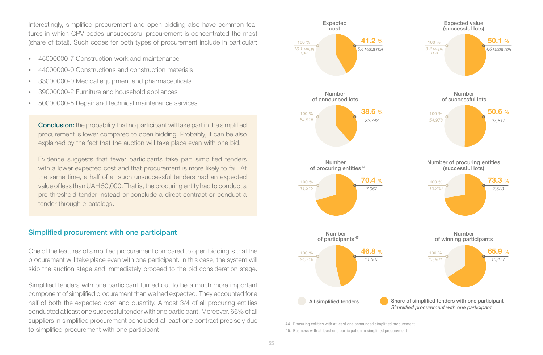Interestingly, simplified procurement and open bidding also have common features in which CPV codes unsuccessful procurement is concentrated the most (share of total). Such codes for both types of procurement include in particular:

- џ 45000000-7 Construction work and maintenance
- џ 44000000-0 Constructions and construction materials
- 33000000-0 Medical equipment and pharmaceuticals
- 39000000-2 Furniture and household appliances
- 50000000-5 Repair and technical maintenance services

**Conclusion:** the probability that no participant will take part in the simplified procurement is lower compared to open bidding. Probably, it can be also explained by the fact that the auction will take place even with one bid.

Evidence suggests that fewer participants take part simplified tenders with a lower expected cost and that procurement is more likely to fail. At the same time, a half of all such unsuccessful tenders had an expected value of less than UAH 50,000. That is, the procuring entity had to conduct a pre-threshold tender instead or conclude a direct contract or conduct a tender through e-catalogs.

#### Simplified procurement with one participant

One of the features of simplified procurement compared to open bidding is that the procurement will take place even with one participant. In this case, the system will skip the auction stage and immediately proceed to the bid consideration stage.

Simplified tenders with one participant turned out to be a much more important component of simplified procurement than we had expected. They accounted for a half of both the expected cost and quantity. Almost 3/4 of all procuring entities conducted at least one successful tender with one participant. Moreover, 66% of all suppliers in simplified procurement concluded at least one contract precisely due to simplified procurement with one participant.



<sup>45.</sup> Business with at least one participation in simplified procurement 44. Procuring entities with at least one announced simplified procurement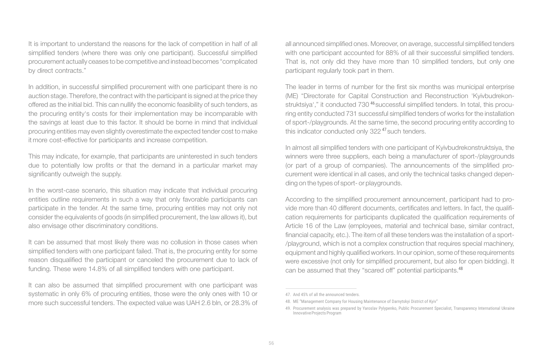It is important to understand the reasons for the lack of competition in half of all simplified tenders (where there was only one participant). Successful simplified procurement actually ceases to be competitive and instead becomes "complicated by direct contracts."

In addition, in successful simplified procurement with one participant there is no auction stage. Therefore, the contract with the participant is signed at the price they offered as the initial bid. This can nullify the economic feasibility of such tenders, as the procuring entity's costs for their implementation may be incomparable with the savings at least due to this factor. It should be borne in mind that individual procuring entities may even slightly overestimate the expected tender cost to make it more cost-effective for participants and increase competition.

This may indicate, for example, that participants are uninterested in such tenders due to potentially low profits or that the demand in a particular market may significantly outweigh the supply.

In the worst-case scenario, this situation may indicate that individual procuring entities outline requirements in such a way that only favorable participants can participate in the tender. At the same time, procuring entities may not only not consider the equivalents of goods (in simplified procurement, the law allows it), but also envisage other discriminatory conditions.

It can be assumed that most likely there was no collusion in those cases when simplified tenders with one participant failed. That is, the procuring entity for some reason disqualified the participant or canceled the procurement due to lack of funding. These were 14.8% of all simplified tenders with one participant.

It can also be assumed that simplified procurement with one participant was systematic in only 6% of procuring entities, those were the only ones with 10 or more such successful tenders. The expected value was UAH 2.6 bln, or 28.3% of all announced simplified ones. Moreover, on average, successful simplified tenders with one participant accounted for 88% of all their successful simplified tenders. That is, not only did they have more than 10 simplified tenders, but only one participant regularly took part in them.

The leader in terms of number for the first six months was municipal enterprise (ME) "Directorate for Capital Construction and Reconstruction 'Kyivbudrekonstruktsiya'," it conducted 730<sup>46</sup> successful simplified tenders. In total, this procuring entity conducted 731 successful simplified tenders of works for the installation of sport-/playgrounds. At the same time, the second procuring entity according to this indicator conducted only 322<sup>47</sup> such tenders.

In almost all simplified tenders with one participant of Kyivbudrekonstruktsiya, the winners were three suppliers, each being a manufacturer of sport-/playgrounds (or part of a group of companies). The announcements of the simplified procurement were identical in all cases, and only the technical tasks changed depending on the types of sport- or playgrounds.

According to the simplified procurement announcement, participant had to provide more than 40 different documents, certificates and letters. In fact, the qualification requirements for participants duplicated the qualification requirements of Article 16 of the Law (employees, material and technical base, similar contract, financial capacity, etc.). The item of all these tenders was the installation of a sport- /playground, which is not a complex construction that requires special machinery, equipment and highly qualified workers. In our opinion, some of these requirements were excessive (not only for simplified procurement, but also for open bidding). It can be assumed that they "scared off" potential participants.<sup>48</sup>

<sup>47.</sup> And 45% of all the announced tenders.

<sup>48.</sup> ME "Management Company for Housing Maintenance of Darnytskyi District of Kyiv"

<sup>49.</sup> Procurement analysis was prepared by Yaroslav Pylypenko, Public Procurement Specialist, Transparency International Ukraine Innovative Projects Program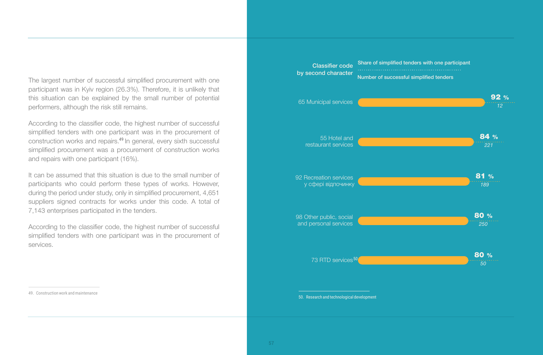The largest number of successful simplified procurement with one participant was in Kyiv region (26.3%). Therefore, it is unlikely that this situation can be explained by the small number of potential performers, although the risk still remains.

According to the classifier code, the highest number of successful simplified tenders with one participant was in the procurement of construction works and repairs.<sup>49</sup> In general, every sixth successful simplified procurement was a procurement of construction works and repairs with one participant (16%).

It can be assumed that this situation is due to the small number of participants who could perform these types of works. However, during the period under study, only in simplified procurement, 4,651 suppliers signed contracts for works under this code. A total of 7,143 enterprises participated in the tenders.

According to the classifier code, the highest number of successful simplified tenders with one participant was in the procurement of services.

Classifier code by second character<br>Number of successful simplified tenders Share of simplified tenders with one participant 65 Municipal services

92 %



50. Research and technological development

49. Construction work and maintenance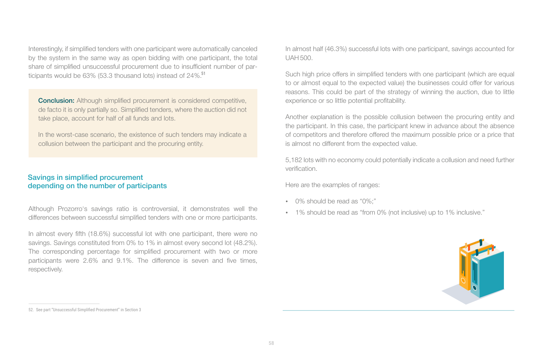Interestingly, if simplified tenders with one participant were automatically canceled by the system in the same way as open bidding with one participant, the total share of simplified unsuccessful procurement due to insufficient number of participants would be 63% (53.3 thousand lots) instead of 24%.<sup>51</sup>

**Conclusion:** Although simplified procurement is considered competitive, de facto it is only partially so. Simplified tenders, where the auction did not take place, account for half of all funds and lots.

In the worst-case scenario, the existence of such tenders may indicate a collusion between the participant and the procuring entity.

#### Savings in simplified procurement depending on the number of participants

Although Prozorro's savings ratio is controversial, it demonstrates well the differences between successful simplified tenders with one or more participants.

In almost every fifth (18.6%) successful lot with one participant, there were no savings. Savings constituted from 0% to 1% in almost every second lot (48.2%). The corresponding percentage for simplified procurement with two or more participants were 2.6% and 9.1%. The difference is seven and five times, respectively.

In almost half (46.3%) successful lots with one participant, savings accounted for UAH 500.

Such high price offers in simplified tenders with one participant (which are equal to or almost equal to the expected value) the businesses could offer for various reasons. This could be part of the strategy of winning the auction, due to little experience or so little potential profitability.

Another explanation is the possible collusion between the procuring entity and the participant. In this case, the participant knew in advance about the absence of competitors and therefore offered the maximum possible price or a price that is almost no different from the expected value.

5,182 lots with no economy could potentially indicate a collusion and need further verification.

Here are the examples of ranges:

- $\cdot$  0% should be read as "0%;"
- 1% should be read as "from 0% (not inclusive) up to 1% inclusive."



<sup>52.</sup> See part "Unsuccessful Simplified Procurement" in Section 3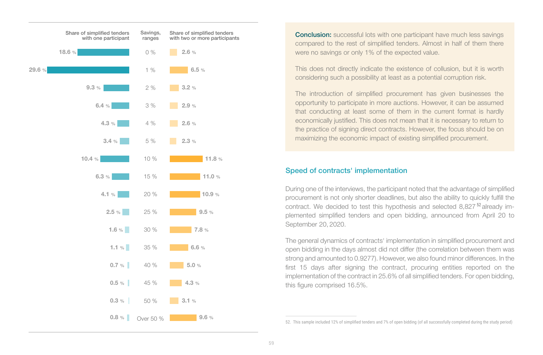

**Conclusion:** successful lots with one participant have much less savings compared to the rest of simplified tenders. Almost in half of them there were no savings or only 1% of the expected value.

This does not directly indicate the existence of collusion, but it is worth considering such a possibility at least as a potential corruption risk.

The introduction of simplified procurement has given businesses the opportunity to participate in more auctions. However, it can be assumed that conducting at least some of them in the current format is hardly economically justified. This does not mean that it is necessary to return to the practice of signing direct contracts. However, the focus should be on maximizing the economic impact of existing simplified procurement.

#### Speed of contracts' implementation

During one of the interviews, the participant noted that the advantage of simplified procurement is not only shorter deadlines, but also the ability to quickly fulfill the contract. We decided to test this hypothesis and selected  $8,827<sup>52</sup>$  already implemented simplified tenders and open bidding, announced from April 20 to September 20, 2020.

The general dynamics of contracts' implementation in simplified procurement and open bidding in the days almost did not differ (the correlation between them was strong and amounted to 0.9277). However, we also found minor differences. In the first 15 days after signing the contract, procuring entities reported on the implementation of the contract in 25.6% of all simplified tenders. For open bidding, this figure comprised 16.5%.

52. This sample included 12% of simplified tenders and 7% of open bidding (of all successfully completed during the study period)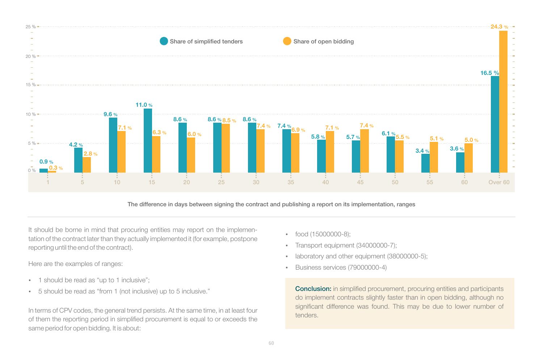

The difference in days between signing the contract and publishing a report on its implementation, ranges

It should be borne in mind that procuring entities may report on the implementation of the contract later than they actually implemented it (for example, postpone reporting until the end of the contract).

Here are the examples of ranges:

- 1 should be read as "up to 1 inclusive";
- џ 5 should be read as "from 1 (not inclusive) up to 5 inclusive."

In terms of CPV codes, the general trend persists. At the same time, in at least four of them the reporting period in simplified procurement is equal to or exceeds the same period for open bidding. It is about:

- $\cdot$  food (15000000-8);
- Transport equipment (34000000-7);
- laboratory and other equipment (38000000-5);
- џ Business services (79000000-4)

**Conclusion:** in simplified procurement, procuring entities and participants do implement contracts slightly faster than in open bidding, although no significant difference was found. This may be due to lower number of tenders.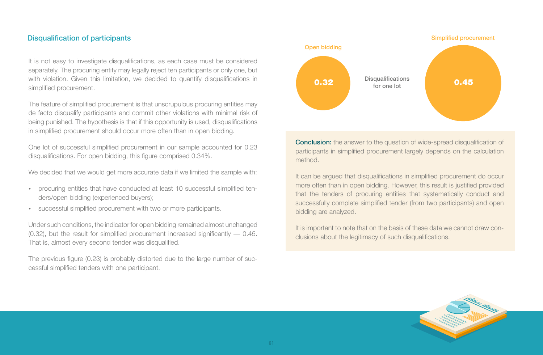#### Disqualification of participants

It is not easy to investigate disqualifications, as each case must be considered separately. The procuring entity may legally reject ten participants or only one, but with violation. Given this limitation, we decided to quantify disqualifications in simplified procurement.

The feature of simplified procurement is that unscrupulous procuring entities may de facto disqualify participants and commit other violations with minimal risk of being punished. The hypothesis is that if this opportunity is used, disqualifications in simplified procurement should occur more often than in open bidding.

One lot of successful simplified procurement in our sample accounted for 0.23 disqualifications. For open bidding, this figure comprised 0.34%.

We decided that we would get more accurate data if we limited the sample with:

- procuring entities that have conducted at least 10 successful simplified tenders/open bidding (experienced buyers);
- successful simplified procurement with two or more participants.

Under such conditions, the indicator for open bidding remained almost unchanged  $(0.32)$ , but the result for simplified procurement increased significantly  $-0.45$ . That is, almost every second tender was disqualified.

The previous figure (0.23) is probably distorted due to the large number of successful simplified tenders with one participant.



**Conclusion:** the answer to the question of wide-spread disqualification of participants in simplified procurement largely depends on the calculation method.

It can be argued that disqualifications in simplified procurement do occur more often than in open bidding. However, this result is justified provided that the tenders of procuring entities that systematically conduct and successfully complete simplified tender (from two participants) and open bidding are analyzed.

It is important to note that on the basis of these data we cannot draw conclusions about the legitimacy of such disqualifications.

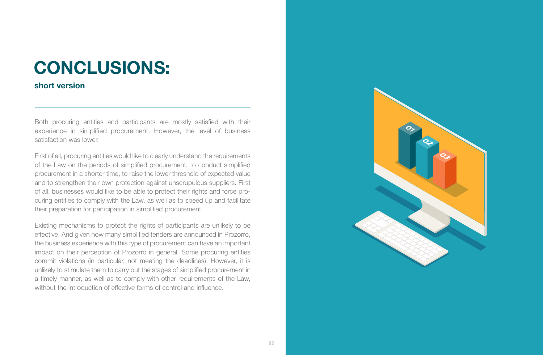### **CONCLUSIONS:**

#### **short version**

Both procuring entities and participants are mostly satisfied with their experience in simplified procurement. However, the level of business satisfaction was lower.

First of all, procuring entities would like to clearly understand the requirements of the Law on the periods of simplified procurement, to conduct simplified procurement in a shorter time, to raise the lower threshold of expected value and to strengthen their own protection against unscrupulous suppliers. First of all, businesses would like to be able to protect their rights and force procuring entities to comply with the Law, as well as to speed up and facilitate their preparation for participation in simplified procurement.

Existing mechanisms to protect the rights of participants are unlikely to be effective. And given how many simplified tenders are announced in Prozorro, the business experience with this type of procurement can have an important impact on their perception of Prozorro in general. Some procuring entities commit violations (in particular, not meeting the deadlines). However, it is unlikely to stimulate them to carry out the stages of simplified procurement in a timely manner, as well as to comply with other requirements of the Law, without the introduction of effective forms of control and influence

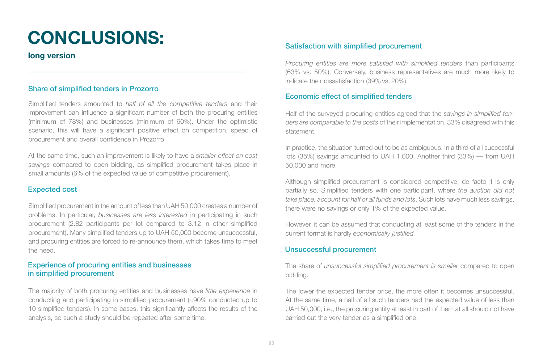# **CONCLUSIONS:**

**long version**

#### Share of simplified tenders in Prozorro

Simplified tenders amounted to *half of all the competitive tenders* and their improvement can influence a significant number of both the procuring entities (minimum of 78%) and businesses (minimum of 60%). Under the optimistic scenario, this will have a significant positive effect on competition, speed of procurement and overall confidence in Prozorro.

At the same time, such an improvement is likely to have a *smaller effect on cost savings* compared to open bidding, as simplified procurement takes place in small amounts (6% of the expected value of competitive procurement).

#### Expected cost

Simplified procurement in the amount of less than UAH 50,000 creates a number of problems. In particular, *businesses are less interested* in participating in such procurement (2.82 participants per lot compared to 3.12 in other simplified procurement). Many simplified tenders up to UAH 50,000 become unsuccessful, and procuring entities are forced to re-announce them, which takes time to meet the need.

#### Experience of procuring entities and businesses in simplified procurement

The majority of both procuring entities and businesses have *little experience* in conducting and participating in simplified procurement (≈90% conducted up to 10 simplified tenders). In some cases, this significantly affects the results of the analysis, so such a study should be repeated after some time.

#### Satisfaction with simplified procurement

*Procuring entities are more satisfied with simplified tenders* than participants (63% vs. 50%). Conversely, business representatives are much more likely to indicate their dissatisfaction (39% vs. 20%).

#### Economic effect of simplified tenders

Half of the surveyed procuring entities agreed that the *savings in simplified tenders are comparable to the costs* of their implementation. 33% disagreed with this statement.

In practice, the situation turned out to be as ambiguous. In a third of all successful lots (35%) savings amounted to UAH 1,000. Another third (33%) — from UAH 50,000 and more.

Although simplified procurement is considered competitive, de facto it is only partially so. Simplified tenders with one participant, where *the auction did not take place, account for half of all funds and lots*. Such lots have much less savings, there were no savings or only 1% of the expected value.

However, it can be assumed that conducting at least some of the tenders in the current format is hardly *economically justified.*

#### Unsuccessful procurement

The share of *unsuccessful simplified procurement is smaller* compared to open bidding.

The lower the expected tender price, the more often it becomes unsuccessful. At the same time, a half of all such tenders had the expected value of less than UAH 50,000, i.e., the procuring entity at least in part of them at all should not have carried out the very tender as a simplified one.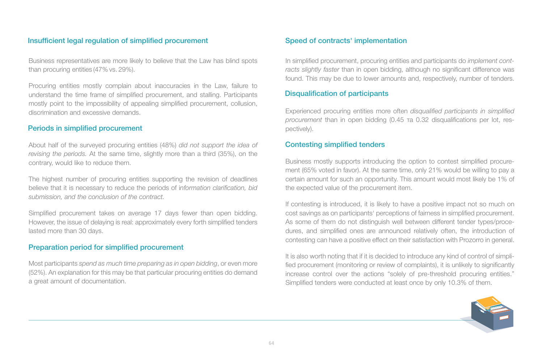#### Insufficient legal regulation of simplified procurement

Business representatives are more likely to believe that the Law has blind spots than procuring entities (47% vs. 29%).

Procuring entities mostly complain about inaccuracies in the Law, failure to understand the time frame of simplified procurement, and stalling. Participants mostly point to the impossibility of appealing simplified procurement, collusion, discrimination and excessive demands.

#### Periods in simplified procurement

About half of the surveyed procuring entities (48%) *did not support the idea of revising the periods.* At the same time, slightly more than a third (35%), on the contrary, would like to reduce them.

The highest number of procuring entities supporting the revision of deadlines believe that it is necessary to reduce the periods of i*nformation clarification, bid submission, and the conclusion of the contract.*

Simplified procurement takes on average 17 days fewer than open bidding. However, the issue of delaying is real: approximately every forth simplified tenders lasted more than 30 days.

#### Preparation period for simplified procurement

Most participants *spend as much time preparing as in open bidding*, or even more (52%). An explanation for this may be that particular procuring entities do demand a great amount of documentation.

#### Speed of contracts' implementation

In simplified procurement, procuring entities and participants do *implement contracts slightly faster* than in open bidding, although no significant difference was found. This may be due to lower amounts and, respectively, number of tenders.

#### Disqualification of participants

Experienced procuring entities more often *disqualified participants in simplified procurement* than in open bidding (0.45 та 0.32 disqualifications per lot, respectively).

#### Contesting simplified tenders

Business mostly supports introducing the option to contest simplified procurement (65% voted in favor). At the same time, only 21% would be willing to pay a certain amount for such an opportunity. This amount would most likely be 1% of the expected value of the procurement item.

If contesting is introduced, it is likely to have a positive impact not so much on cost savings as on participants' perceptions of fairness in simplified procurement. As some of them do not distinguish well between different tender types/procedures, and simplified ones are announced relatively often, the introduction of contesting can have a positive effect on their satisfaction with Prozorro in general.

It is also worth noting that if it is decided to introduce any kind of control of simplified procurement (monitoring or review of complaints), it is unlikely to significantly increase control over the actions "solely of pre-threshold procuring entities." Simplified tenders were conducted at least once by only 10.3% of them.

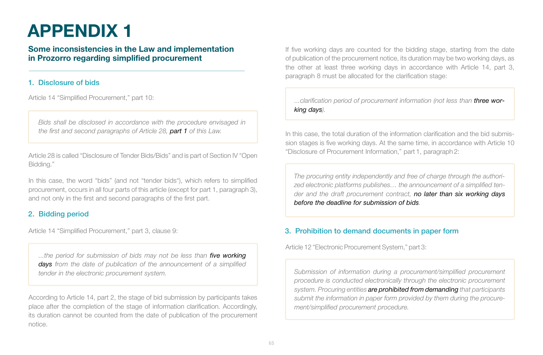## **APPENDIX 1**

### **Some inconsistencies in the Law and implementation in Prozorro regarding simplified procurement**

#### 1. Disclosure of bids

Article 14 "Simplified Procurement," part 10:

*Bids shall be disclosed in accordance with the procedure envisaged in the first and second paragraphs of Article 28, part 1 of this Law.*

Article 28 is called "Disclosure of Tender Bids/Bids" and is part of Section IV "Open Bidding."

In this case, the word "bids" (and not "tender bids"), which refers to simplified procurement, occurs in all four parts of this article (except for part 1, paragraph 3), and not only in the first and second paragraphs of the first part.

#### 2. Bidding period

Article 14 "Simplified Procurement," part 3, clause 9:

*...the period for submission of bids may not be less than five working days from the date of publication of the announcement of a simplified tender in the electronic procurement system.*

According to Article 14, part 2, the stage of bid submission by participants takes place after the completion of the stage of information clarification. Accordingly, its duration cannot be counted from the date of publication of the procurement notice.

If five working days are counted for the bidding stage, starting from the date of publication of the procurement notice, its duration may be two working days, as the other at least three working days in accordance with Article 14, part 3, paragraph 8 must be allocated for the clarification stage:

...clarification period of procurement information (not less than **three wor***king days).*

In this case, the total duration of the information clarification and the bid submission stages is five working days. At the same time, in accordance with Article 10 "Disclosure of Procurement Information," part 1, paragraph 2:

*The procuring entity independently and free of charge through the authorized electronic platforms publishes… the announcement of a simplified tender and the draft procurement contract, no later than six working days before the deadline for submission of bids.*

### 3. Prohibition to demand documents in paper form

Article 12 "Electronic Procurement System," part 3:

*Submission of information during a procurement/simplified procurement procedure is conducted electronically through the electronic procurement system. Procuring entities are prohibited from demanding that participants submit the information in paper form provided by them during the procurement/simplified procurement procedure.*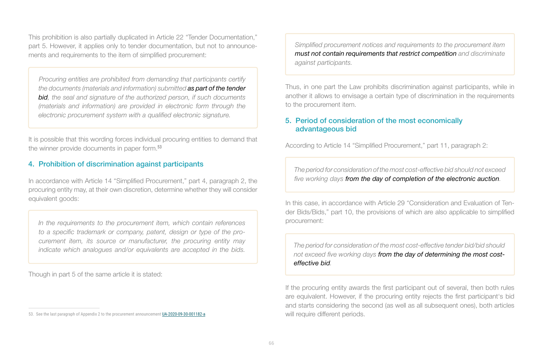This prohibition is also partially duplicated in Article 22 "Tender Documentation," part 5. However, it applies only to tender documentation, but not to announcements and requirements to the item of simplified procurement:

*Procuring entities are prohibited from demanding that participants certify the documents (materials and information) submitted as part of the tender bid, the seal and signature of the authorized person, if such documents (materials and information) are provided in electronic form through the electronic procurement system with a qualified electronic signature.*

It is possible that this wording forces individual procuring entities to demand that the winner provide documents in paper form. 53

#### 4. Prohibition of discrimination against participants

In accordance with Article 14 "Simplified Procurement," part 4, paragraph 2, the procuring entity may, at their own discretion, determine whether they will consider equivalent goods:

*In the requirements to the procurement item, which contain references to a specific trademark or company, patent, design or type of the procurement item, its source or manufacturer, the procuring entity may indicate which analogues and/or equivalents are accepted in the bids.*

Though in part 5 of the same article it is stated:

*Simplified procurement notices and requirements to the procurement item must not contain requirements that restrict competition and discriminate against participants.*

Thus, in one part the Law prohibits discrimination against participants, while in another it allows to envisage a certain type of discrimination in the requirements to the procurement item.

#### 5. Period of consideration of the most economically advantageous bid

According to Article 14 "Simplified Procurement," part 11, paragraph 2:

*The period for consideration of the most cost-effective bid should not exceed five working days from the day of completion of the electronic auction.*

In this case, in accordance with Article 29 "Consideration and Evaluation of Tender Bids/Bids," part 10, the provisions of which are also applicable to simplified procurement:

*The period for consideration of the most cost-effective tender bid/bid should not exceed five working days from the day of determining the most costeffective bid.*

If the procuring entity awards the first participant out of several, then both rules are equivalent. However, if the procuring entity rejects the first participant's bid and starts considering the second (as well as all subsequent ones), both articles will require different periods.

<sup>53.</sup> See the last paragraph of Appendix 2 to the procurement announcement UA-2020-09-30-001182-a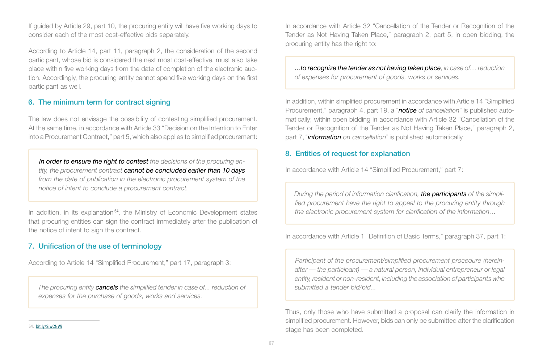If guided by Article 29, part 10, the procuring entity will have five working days to consider each of the most cost-effective bids separately.

According to Article 14, part 11, paragraph 2, the consideration of the second participant, whose bid is considered the next most cost-effective, must also take place within five working days from the date of completion of the electronic auction. Accordingly, the procuring entity cannot spend five working days on the first participant as well.

#### 6. The minimum term for contract signing

The law does not envisage the possibility of contesting simplified procurement. At the same time, in accordance with Article 33 "Decision on the Intention to Enter into a Procurement Contract," part 5, which also applies to simplified procurement:

*In order to ensure the right to contest the decisions of the procuring entity, the procurement contract cannot be concluded earlier than 10 days from the date of publication in the electronic procurement system of the notice of intent to conclude a procurement contract.*

In addition, in its explanation<sup>54</sup>, the Ministry of Economic Development states that procuring entities can sign the contract immediately after the publication of the notice of intent to sign the contract.

#### 7. Unification of the use of terminology

According to Article 14 "Simplified Procurement," part 17, paragraph 3:

*The procuring entity cancels the simplified tender in case of... reduction of expenses for the purchase of goods, works and services.*

In accordance with Article 32 "Cancellation of the Tender or Recognition of the Tender as Not Having Taken Place," paragraph 2, part 5, in open bidding, the procuring entity has the right to:

*...to recognize the tender as not having taken place, in case of… reduction of expenses for procurement of goods, works or services.*

In addition, within simplified procurement in accordance with Article 14 "Simplified Procurement," paragraph 4, part 19, a "*notice of cancellation*" is published automatically; within open bidding in accordance with Article 32 "Cancellation of the Tender or Recognition of the Tender as Not Having Taken Place," paragraph 2, part 7, "*information on cancellation*" is published automatically.

#### 8. Entities of request for explanation

In accordance with Article 14 "Simplified Procurement," part 7:

*During the period of information clarification, the participants of the simplified procurement have the right to appeal to the procuring entity through the electronic procurement system for clarification of the information…*

In accordance with Article 1 "Definition of Basic Terms," paragraph 37, part 1:

*Participant of the procurement/simplified procurement procedure (hereinafter — the participant) — a natural person, individual entrepreneur or legal entity, resident or non-resident, including the association of participants who submitted a tender bid/bid...*

Thus, only those who have submitted a proposal can clarify the information in simplified procurement. However, bids can only be submitted after the clarification stage has been completed.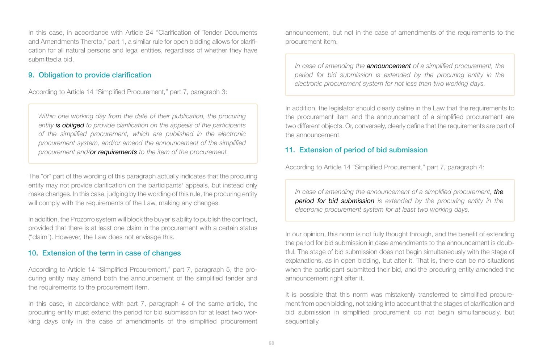In this case, in accordance with Article 24 "Clarification of Tender Documents and Amendments Thereto," part 1, a similar rule for open bidding allows for clarification for all natural persons and legal entities, regardless of whether they have submitted a bid.

#### 9. Obligation to provide clarification

According to Article 14 "Simplified Procurement," part 7, paragraph 3:

*Within one working day from the date of their publication, the procuring entity is obliged to provide clarification on the appeals of the participants of the simplified procurement, which are published in the electronic procurement system, and/or amend the announcement of the simplified procurement and/or requirements to the item of the procurement.*

The "or" part of the wording of this paragraph actually indicates that the procuring entity may not provide clarification on the participants' appeals, but instead only make changes. In this case, judging by the wording of this rule, the procuring entity will comply with the requirements of the Law, making any changes.

In addition, the Prozorro system will block the buyer's ability to publish the contract, provided that there is at least one claim in the procurement with a certain status ("claim"). However, the Law does not envisage this.

#### 10. Extension of the term in case of changes

According to Article 14 "Simplified Procurement," part 7, paragraph 5, the procuring entity may amend both the announcement of the simplified tender and the requirements to the procurement item.

In this case, in accordance with part 7, paragraph 4 of the same article, the procuring entity must extend the period for bid submission for at least two working days only in the case of amendments of the simplified procurement announcement, but not in the case of amendments of the requirements to the procurement item.

*In case of amending the announcement of a simplified procurement, the period for bid submission is extended by the procuring entity in the electronic procurement system for not less than two working days.*

In addition, the legislator should clearly define in the Law that the requirements to the procurement item and the announcement of a simplified procurement are two different objects. Or, conversely, clearly define that the requirements are part of the announcement.

#### 11. Extension of period of bid submission

According to Article 14 "Simplified Procurement," part 7, paragraph 4:

*In case of amending the announcement of a simplified procurement, the period for bid submission is extended by the procuring entity in the electronic procurement system for at least two working days.*

In our opinion, this norm is not fully thought through, and the benefit of extending the period for bid submission in case amendments to the announcement is doubtful. The stage of bid submission does not begin simultaneously with the stage of explanations, as in open bidding, but after it. That is, there can be no situations when the participant submitted their bid, and the procuring entity amended the announcement right after it.

It is possible that this norm was mistakenly transferred to simplified procurement from open bidding, not taking into account that the stages of clarification and bid submission in simplified procurement do not begin simultaneously, but sequentially.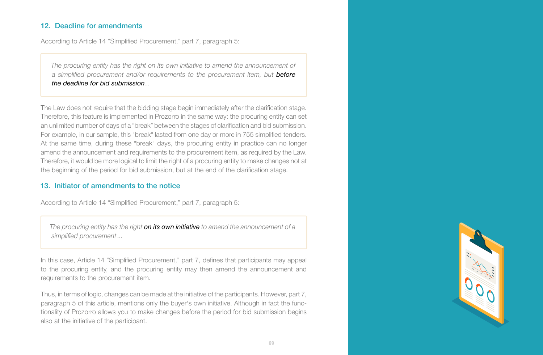#### 12. Deadline for amendments

According to Article 14 "Simplified Procurement," part 7, paragraph 5:

*The procuring entity has the right on its own initiative to amend the announcement of a simplified procurement and/or requirements to the procurement item, but before the deadline for bid submission...*

The Law does not require that the bidding stage begin immediately after the clarification stage. Therefore, this feature is implemented in Prozorro in the same way: the procuring entity can set an unlimited number of days of a "break" between the stages of clarification and bid submission. For example, in our sample, this "break" lasted from one day or more in 755 simplified tenders. At the same time, during these "break" days, the procuring entity in practice can no longer amend the announcement and requirements to the procurement item, as required by the Law. Therefore, it would be more logical to limit the right of a procuring entity to make changes not at the beginning of the period for bid submission, but at the end of the clarification stage.

#### 13. Initiator of amendments to the notice

According to Article 14 "Simplified Procurement," part 7, paragraph 5:

*The procuring entity has the right on its own initiative to amend the announcement of a simplified procurement ...*

In this case, Article 14 "Simplified Procurement," part 7, defines that participants may appeal to the procuring entity, and the procuring entity may then amend the announcement and requirements to the procurement item.

Thus, in terms of logic, changes can be made at the initiative of the participants. However, part 7, paragraph 5 of this article, mentions only the buyer's own initiative. Although in fact the functionality of Prozorro allows you to make changes before the period for bid submission begins also at the initiative of the participant.

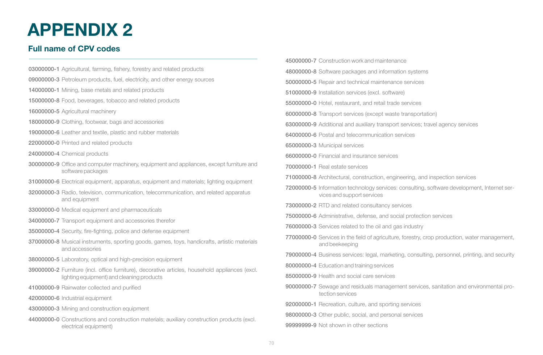### **APPENDIX 2**

### **Full name of CPV codes**

- 03000000-1 Agricultural, farming, fishery, forestry and related products
- 09000000-3 Petroleum products, fuel, electricity, and other energy sources
- 14000000-1 Mining, base metals and related products
- 15000000-8 Food, beverages, tobacco and related products
- 16000000-5 Agricultural machinery
- 18000000-9 Clothing, footwear, bags and accessories
- 19000000-6 Leather and textile, plastic and rubber materials
- 22000000-0 Printed and related products
- 24000000-4 Chemical products
- 30000000-9 Office and computer machinery, equipment and appliances, except furniture and software packages
- 31000000-6 Electrical equipment, apparatus, equipment and materials; lighting equipment
- 32000000-3 Radio, television, communication, telecommunication, and related apparatus and equipment
- 33000000-0 Medical equipment and pharmaceuticals
- 34000000-7 Transport equipment and accessories therefor
- 35000000-4 Security, fire-fighting, police and defense equipment
- 37000000-8 Musical instruments, sporting goods, games, toys, handicrafts, artistic materials and accessories
- 38000000-5 Laboratory, optical and high-precision equipment
- 39000000-2 Furniture (incl. office furniture), decorative articles, household appliances (excl. lighting equipment) and cleaning products
- 41000000-9 Rainwater collected and purified
- 42000000-6 Industrial equipment
- 43000000-3 Mining and construction equipment
- 44000000-0 Constructions and construction materials; auxiliary construction products (excl. electrical equipment)
- 45000000-7 Construction work and maintenance
- 48000000-8 Software packages and information systems
- 50000000-5 Repair and technical maintenance services
- 51000000-9 Installation services (excl. software)
- 55000000-0 Hotel, restaurant, and retail trade services
- 60000000-8 Transport services (except waste transportation)
- 63000000-9 Additional and auxiliary transport services; travel agency services
- 64000000-6 Postal and telecommunication services
- 65000000-3 Municipal services
- 66000000-0 Financial and insurance services
- 70000000-1 Real estate services
- 71000000-8 Architectural, construction, engineering, and inspection services
- 72000000-5 Information technology services: consulting, software development, Internet services and support services
- 73000000-2 RTD and related consultancy services
- 75000000-6 Administrative, defense, and social protection services
- 76000000-3 Services related to the oil and gas industry
- 77000000-0 Services in the field of agriculture, forestry, crop production, water management, and beekeeping
- 79000000-4 Business services: legal, marketing, consulting, personnel, printing, and security
- 80000000-4 Education and training services
- 85000000-9 Health and social care services
- 90000000-7 Sewage and residuals management services, sanitation and environmental protection services
- 92000000-1 Recreation, culture, and sporting services
- 98000000-3 Other public, social, and personal services
- 99999999-9 Not shown in other sections